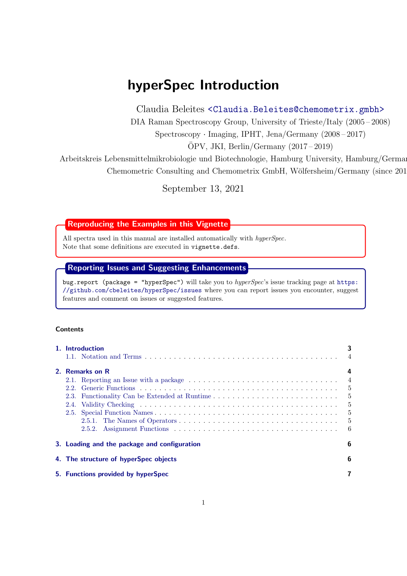# hyperSpec Introduction

Claudia Beleites <<Claudia.Beleites@chemometrix.gmbh>>

DIA Raman Spectroscopy Group, University of Trieste/Italy (2005 – 2008)

Spectroscopy · Imaging, IPHT, Jena/Germany (2008 – 2017)

 $\text{OPV}, \text{JKI}, \text{Berlin}/\text{Germany} (2017-2019)$ 

Arbeitskreis Lebensmittelmikrobiologie und Biotechnologie, Hamburg University, Hamburg/German Chemometric Consulting and Chemometrix GmbH, Wölfersheim/Germany (since 201

September 13, 2021

Reproducing the Examples in this Vignette

All spectra used in this manual are installed automatically with *hyperSpec*. Note that some definitions are executed in vignette.defs.

# Reporting Issues and Suggesting Enhancements

bug.report (package = "hyperSpec") will take you to *hyperSpec*'s issue tracking page at [https:](https://github.com/cbeleites/hyperSpec/issues) [//github.com/cbeleites/hyperSpec/issues](https://github.com/cbeleites/hyperSpec/issues) where you can report issues you encounter, suggest features and comment on issues or suggested features.

# **Contents**

| 1. Introduction                              | 3                                       |
|----------------------------------------------|-----------------------------------------|
| 2. Remarks on R<br>2.4.                      | $\overline{4}$<br>$5\phantom{0}$<br>- 6 |
| 3. Loading and the package and configuration | 6                                       |
| 4. The structure of hyperSpec objects        | 6                                       |
| 5. Functions provided by hyperSpec           |                                         |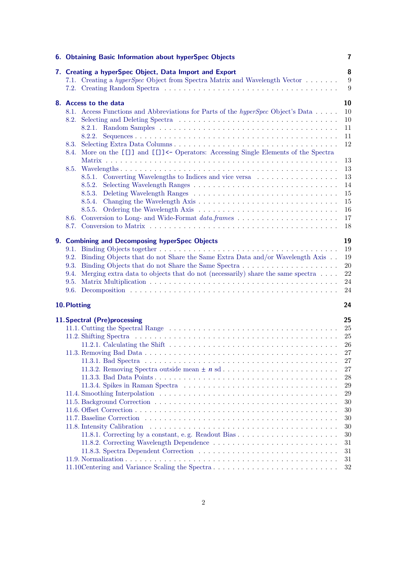| 6. Obtaining Basic Information about hyperSpec Objects                                                                                      | 7        |
|---------------------------------------------------------------------------------------------------------------------------------------------|----------|
| 7. Creating a hyperSpec Object, Data Import and Export<br>7.1. Creating a <i>hyperSpec</i> Object from Spectra Matrix and Wavelength Vector | 8<br>9   |
|                                                                                                                                             | 9        |
| 8. Access to the data                                                                                                                       | 10       |
| 8.1. Access Functions and Abbreviations for Parts of the <i>hyperSpec</i> Object's Data                                                     | 10       |
|                                                                                                                                             | 10       |
|                                                                                                                                             | 11       |
| 8.2.2.                                                                                                                                      | 11<br>12 |
| 8.4. More on the [[]] and [[]] <- Operators: Accessing Single Elements of the Spectra                                                       |          |
|                                                                                                                                             | 13<br>13 |
| 8.5.1. Converting Wavelengths to Indices and vice versa                                                                                     | 13       |
| 8.5.2.                                                                                                                                      | 14       |
| 8.5.3.                                                                                                                                      | 15       |
|                                                                                                                                             | 15       |
|                                                                                                                                             | 16       |
|                                                                                                                                             | 17       |
|                                                                                                                                             | 18       |
| 9. Combining and Decomposing hyperSpec Objects                                                                                              | 19       |
|                                                                                                                                             | 19       |
| 9.2. Binding Objects that do not Share the Same Extra Data and/or Wavelength Axis                                                           | 19       |
|                                                                                                                                             | 20       |
| 9.4. Merging extra data to objects that do not (necessarily) share the same spectra $\dots$ .                                               | 22<br>24 |
|                                                                                                                                             | 24       |
|                                                                                                                                             |          |
| 10. Plotting                                                                                                                                | 24       |
| 11. Spectral (Pre)processing                                                                                                                | 25       |
|                                                                                                                                             | 25       |
|                                                                                                                                             | 25       |
| 11.2.1. Calculating the Shift $\ldots \ldots \ldots \ldots \ldots \ldots \ldots \ldots \ldots \ldots \ldots \ldots$                         | 26<br>27 |
|                                                                                                                                             | $27\,$   |
|                                                                                                                                             | 27       |
|                                                                                                                                             | 28       |
|                                                                                                                                             | 29       |
|                                                                                                                                             | 29       |
|                                                                                                                                             | 30       |
|                                                                                                                                             | 30       |
|                                                                                                                                             | $30\,$   |
|                                                                                                                                             | 30<br>30 |
|                                                                                                                                             | 31       |
|                                                                                                                                             | 31       |
|                                                                                                                                             | 31       |
| 11.10Centering and Variance Scaling the Spectra                                                                                             | 32       |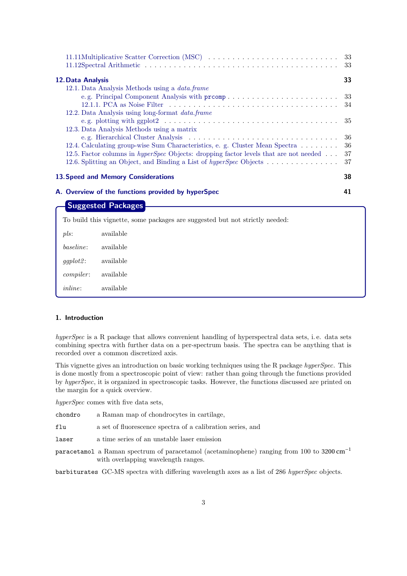<span id="page-2-1"></span>

| 11.11Multiplicative Scatter Correction (MSC)                                                                                                                                                                                                              | -33<br>33             |
|-----------------------------------------------------------------------------------------------------------------------------------------------------------------------------------------------------------------------------------------------------------|-----------------------|
| 12. Data Analysis<br>12.1. Data Analysis Methods using a <i>data.frame</i>                                                                                                                                                                                | 33                    |
| 12.2. Data Analysis using long-format <i>data.frame</i>                                                                                                                                                                                                   | 33<br>34              |
| 12.3. Data Analysis Methods using a matrix                                                                                                                                                                                                                | -35                   |
| 12.4. Calculating group-wise Sum Characteristics, e. g. Cluster Mean Spectra<br>12.5. Factor columns in <i>hyperSpec</i> Objects: dropping factor levels that are not needed<br>12.6. Splitting an Object, and Binding a List of <i>hyperSpec</i> Objects | -36<br>36<br>37<br>37 |
| 13. Speed and Memory Considerations                                                                                                                                                                                                                       | 38                    |
| A. Overview of the functions provided by hyperSpec<br><b>Suggested Packages</b>                                                                                                                                                                           | 41                    |
| To build this vignette, some packages are suggested but not strictly needed:                                                                                                                                                                              |                       |

| pls:             | available |  |
|------------------|-----------|--|
| baseline:        | available |  |
| $qqplot2$ :      | available |  |
| <i>compiler:</i> | available |  |
| inline:          | available |  |

# <span id="page-2-0"></span>1. Introduction

*hyperSpec* is a R package that allows convenient handling of hyperspectral data sets, i. e. data sets combining spectra with further data on a per-spectrum basis. The spectra can be anything that is recorded over a common discretized axis.

This vignette gives an introduction on basic working techniques using the R package *hyperSpec*. This is done mostly from a spectroscopic point of view: rather than going through the functions provided by *hyperSpec*, it is organized in spectroscopic tasks. However, the functions discussed are printed on the margin for a quick overview.

*hyperSpec* comes with five data sets,

chondro a Raman map of chondrocytes in cartilage,

flu a set of fluorescence spectra of a calibration series, and

laser a time series of an unstable laser emission

paracetamol a Raman spectrum of paracetamol (acetaminophene) ranging from 100 to 3200 cm−<sup>1</sup> with overlapping wavelength ranges.

barbiturates GC-MS spectra with differing wavelength axes as a list of 286 *hyperSpec* objects.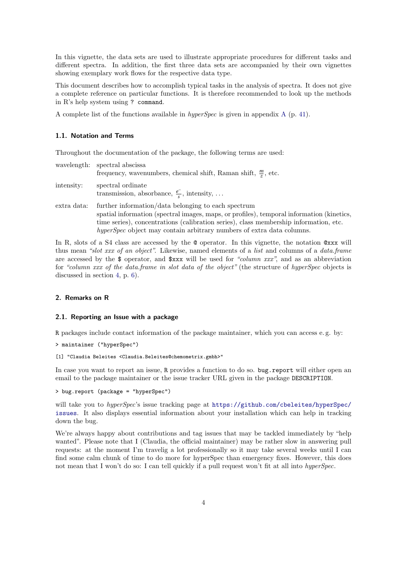<span id="page-3-3"></span>In this vignette, the data sets are used to illustrate appropriate procedures for different tasks and different spectra. In addition, the first three data sets are accompanied by their own vignettes showing exemplary work flows for the respective data type.

This document describes how to accomplish typical tasks in the analysis of spectra. It does not give a complete reference on particular functions. It is therefore recommended to look up the methods in R's help system using ? command.

A complete list of the functions available in *hyperSpec* is given in appendix [A](#page-40-0) (p. [41\)](#page-40-0).

#### <span id="page-3-0"></span>1.1. Notation and Terms

Throughout the documentation of the package, the following terms are used:

|             | wavelength: spectral abscissa<br>frequency, wavenumbers, chemical shift, Raman shift, $\frac{m}{7}$ , etc.                                                                                                                                                                                                         |
|-------------|--------------------------------------------------------------------------------------------------------------------------------------------------------------------------------------------------------------------------------------------------------------------------------------------------------------------|
| intensity:  | spectral ordinate<br>transmission, absorbance, $\frac{e^{-}}{s}$ , intensity,                                                                                                                                                                                                                                      |
| extra data: | further information/data belonging to each spectrum<br>spatial information (spectral images, maps, or profiles), temporal information (kinetics,<br>time series), concentrations (calibration series), class membership information, etc.<br>hyperSpec object may contain arbitrary numbers of extra data columns. |

In R, slots of a S4 class are accessed by the  $\circ$  operator. In this vignette, the notation  $\circ xxx$  will thus mean *"slot xxx of an object"*. Likewise, named elements of a *list* and columns of a *data.frame* are accessed by the \$ operator, and \$xxx will be used for *"column xxx"*, and as an abbreviation for *"column xxx of the data.frame in slot data of the object"* (the structure of *hyperSpec* objects is discussed in section [4,](#page-5-2) p. [6\)](#page-5-2).

#### <span id="page-3-1"></span>2. Remarks on R

#### <span id="page-3-2"></span>2.1. Reporting an Issue with a package

R packages include contact information of the package maintainer, which you can access e. g. by:

```
> maintainer ("hyperSpec")
```

```
[1] "Claudia Beleites <Claudia.Beleites@chemometrix.gmbh>"
```
In case you want to report an issue, R provides a function to do so. bug.report will either open an email to the package maintainer or the issue tracker URL given in the package DESCRIPTION.

> bug.report (package = "hyperSpec")

will take you to *hyperSpec*'s issue tracking page at [https://github.com/cbeleites/hyperSpec/](https://github.com/cbeleites/hyperSpec/issues) [issues](https://github.com/cbeleites/hyperSpec/issues). It also displays essential information about your installation which can help in tracking down the bug.

We're always happy about contributions and tag issues that may be tackled immediately by "help" wanted". Please note that I (Claudia, the official maintainer) may be rather slow in answering pull requests: at the moment I'm travelig a lot professionally so it may take several weeks until I can find some calm chunk of time to do more for hyperSpec than emergency fixes. However, this does not mean that I won't do so: I can tell quickly if a pull request won't fit at all into *hyperSpec*.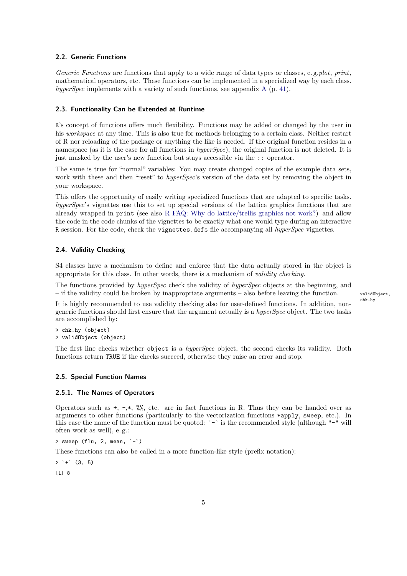# <span id="page-4-5"></span><span id="page-4-0"></span>2.2. Generic Functions

*Generic Functions* are functions that apply to a wide range of data types or classes, e. g.*plot*, *print*, mathematical operators, etc. These functions can be implemented in a specialized way by each class. *hyperSpec* implements with a variety of such functions, see appendix [A](#page-40-0) (p. [41\)](#page-40-0).

# <span id="page-4-1"></span>2.3. Functionality Can be Extended at Runtime

R's concept of functions offers much flexibility. Functions may be added or changed by the user in his *workspace* at any time. This is also true for methods belonging to a certain class. Neither restart of R nor reloading of the package or anything the like is needed. If the original function resides in a namespace (as it is the case for all functions in *hyperSpec*), the original function is not deleted. It is just masked by the user's new function but stays accessible via the :: operator.

The same is true for "normal" variables: You may create changed copies of the example data sets, work with these and then "reset" to *hyperSpec*'s version of the data set by removing the object in your workspace.

This offers the opportunity of easily writing specialized functions that are adapted to specific tasks. *hyperSpec*'s vignettes use this to set up special versions of the lattice graphics functions that are already wrapped in print (see also [R FAQ: Why do lattice/trellis graphics not work?\)](http://cran.r-project.org/doc/FAQ/R-FAQ.html#Why-do-lattice_002ftrellis-graphics-not-work_003f) and allow the code in the code chunks of the vignettes to be exactly what one would type during an interactive R session. For the code, check the vignettes.defs file accompanying all *hyperSpec* vignettes.

# <span id="page-4-2"></span>2.4. Validity Checking

S4 classes have a mechanism to define and enforce that the data actually stored in the object is appropriate for this class. In other words, there is a mechanism of *validity checking*.

The functions provided by *hyperSpec* check the validity of *hyperSpec* objects at the beginning, and – if the validity could be broken by inappropriate arguments – also before leaving the function. valid object,

It is highly recommended to use validity checking also for user-defined functions. In addition, nongeneric functions should first ensure that the argument actually is a *hyperSpec* object. The two tasks are accomplished by:

> chk.hy (object) > validObject (object)

The first line checks whether object is a *hyperSpec* object, the second checks its validity. Both functions return TRUE if the checks succeed, otherwise they raise an error and stop.

# <span id="page-4-3"></span>2.5. Special Function Names

# <span id="page-4-4"></span>2.5.1. The Names of Operators

Operators such as  $+$ ,  $-$ , $*$ ,  $\frac{8}{6}$ , etc. are in fact functions in R. Thus they can be handed over as arguments to other functions (particularly to the vectorization functions \*apply, sweep, etc.). In this case the name of the function must be quoted:  $\sim$  is the recommended style (although  $-$ " will often work as well), e. g.:

> sweep (flu, 2, mean, `-`)

These functions can also be called in a more function-like style (prefix notation):

 $>$  `+`  $(3, 5)$ 

[1] 8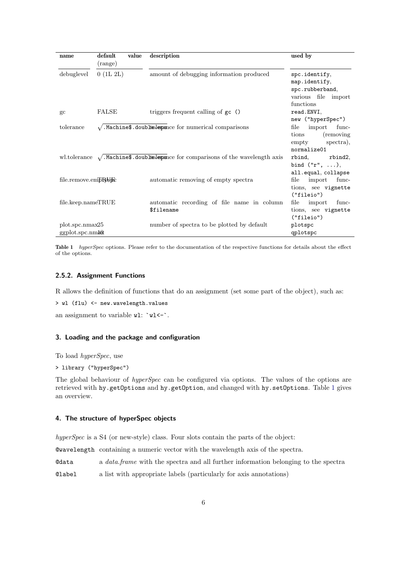<span id="page-5-4"></span><span id="page-5-3"></span>

| name                                   | default<br>(range) | value | description                                                                                      | used by                                                                               |
|----------------------------------------|--------------------|-------|--------------------------------------------------------------------------------------------------|---------------------------------------------------------------------------------------|
| debuglevel                             | 0(1L 2L)           |       | amount of debugging information produced                                                         | spc.identify,<br>map.identify,<br>spc.rubberband,<br>various file import<br>functions |
| $\rm{gc}$                              | <b>FALSE</b>       |       | triggers frequent calling of gc ()                                                               | read.ENVI,<br>new ("hyperSpec")                                                       |
| tolerance                              |                    |       | $\sqrt{\cdot}$ . Machine\$. doublet below the form understand comparisons                        | file<br>import<br>func-<br>(removing)<br>tions<br>spectra),<br>empty<br>normalize01   |
|                                        |                    |       | wl.tolerance $\sqrt{\cdot}$ . Machine\$. doubles lepsonce for comparisons of the wavelength axis | rbind,<br>rbind2,<br>bind $("r", \ldots),$<br>all.equal, collapse                     |
| file.remove.empRofice                  |                    |       | automatic removing of empty spectra                                                              | import<br>func-<br>file<br>tions, see vignette<br>("fileio")                          |
| $file\mathsf{.}keep\mathsf{.}nameTRUE$ |                    |       | automatic recording of file name in column<br>\$filename                                         | file<br>import<br>func-<br>tions, see vignette<br>("fileio")                          |
| plot.spc.nmax25<br>ggplot.spc.nmax     |                    |       | number of spectra to be plotted by default                                                       | plotspc<br>qplotspc                                                                   |

Table 1 hyperSpec options. Please refer to the documentation of the respective functions for details about the effect of the options.

# <span id="page-5-0"></span>2.5.2. Assignment Functions

R allows the definition of functions that do an assignment (set some part of the object), such as:

```
> wl (flu) <- new.wavelength.values
```
an assignment to variable  $wl: "wl<-".$ 

# <span id="page-5-1"></span>3. Loading and the package and configuration

To load *hyperSpec*, use

```
> library ("hyperSpec")
```
The global behaviour of *hyperSpec* can be configured via options. The values of the options are retrieved with hy.getOptions and hy.getOption, and changed with hy.setOptions. Table [1](#page-5-3) gives an overview.

# <span id="page-5-2"></span>4. The structure of hyperSpec objects

*hyperSpec* is a S4 (or new-style) class. Four slots contain the parts of the object:

@wavelength containing a numeric vector with the wavelength axis of the spectra.

@data a *data.frame* with the spectra and all further information belonging to the spectra

@label a list with appropriate labels (particularly for axis annotations)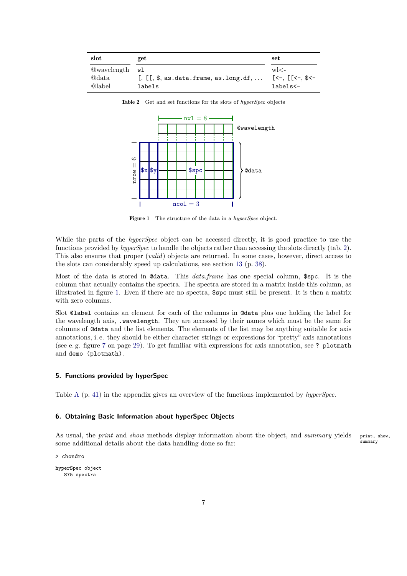<span id="page-6-3"></span><span id="page-6-2"></span>

| slot               | get                                                                                        | set                                                                                                                                                                                                                                                                                                                                                                                                                                                                                                                                                                                                                                                             |
|--------------------|--------------------------------------------------------------------------------------------|-----------------------------------------------------------------------------------------------------------------------------------------------------------------------------------------------------------------------------------------------------------------------------------------------------------------------------------------------------------------------------------------------------------------------------------------------------------------------------------------------------------------------------------------------------------------------------------------------------------------------------------------------------------------|
| <b>@wavelength</b> | wl                                                                                         | $w$ $\lt$ –                                                                                                                                                                                                                                                                                                                                                                                                                                                                                                                                                                                                                                                     |
| @data              | $\left[ \cdot, \cdot \right]$ , $\left[ \cdot, \cdot \right]$ , as.data.frame, as.long.df, | $[\left\langle -\right\rangle, \left[ \left\langle -\right\rangle, \left\langle -\right\rangle, \left\langle -\right\rangle, \left\langle -\right\rangle, \left\langle -\right\rangle, \left\langle -\right\rangle, \left\langle -\right\rangle, \left\langle -\right\rangle, \left\langle -\right\rangle, \left\langle -\right\rangle, \left\langle -\right\rangle, \left\langle -\right\rangle, \left\langle -\right\rangle, \left\langle -\right\rangle, \left\langle -\right\rangle, \left\langle -\right\rangle, \left\langle -\right\rangle, \left\langle -\right\rangle, \left\langle -\right\rangle, \left\langle -\right\rangle, \left\langle -\right$ |
| @label             | labels                                                                                     | labels<-                                                                                                                                                                                                                                                                                                                                                                                                                                                                                                                                                                                                                                                        |

Table 2 Get and set functions for the slots of *hyperSpec* objects



Figure 1 The structure of the data in a *hyperSpec* object.

While the parts of the *hyperSpec* object can be accessed directly, it is good practice to use the functions provided by *hyperSpec* to handle the objects rather than accessing the slots directly (tab. [2\)](#page-6-2). This also ensures that proper (*valid*) objects are returned. In some cases, however, direct access to the slots can considerably speed up calculations, see section [13](#page-37-0) (p. [38\)](#page-37-0).

Most of the data is stored in @data. This *data.frame* has one special column, \$spc. It is the column that actually contains the spectra. The spectra are stored in a matrix inside this column, as illustrated in figure [1.](#page-6-3) Even if there are no spectra, \$spc must still be present. It is then a matrix with zero columns.

Slot @label contains an element for each of the columns in @data plus one holding the label for the wavelength axis, .wavelength. They are accessed by their names which must be the same for columns of @data and the list elements. The elements of the list may be anything suitable for axis annotations, i. e. they should be either character strings or expressions for "pretty" axis annotations (see e. g. figure [7](#page-28-2) on page [29\)](#page-28-2). To get familiar with expressions for axis annotation, see ? plotmath and demo (plotmath).

#### <span id="page-6-0"></span>5. Functions provided by hyperSpec

Table [A](#page-40-0) (p. [41\)](#page-40-0) in the appendix gives an overview of the functions implemented by *hyperSpec*.

# <span id="page-6-1"></span>6. Obtaining Basic Information about hyperSpec Objects

As usual, the *print* and *show* methods display information about the object, and *summary* yields print, show, some additional details about the data handling done so far:  $\frac{\text{summax}}{n}$ 

> chondro

hyperSpec object 875 spectra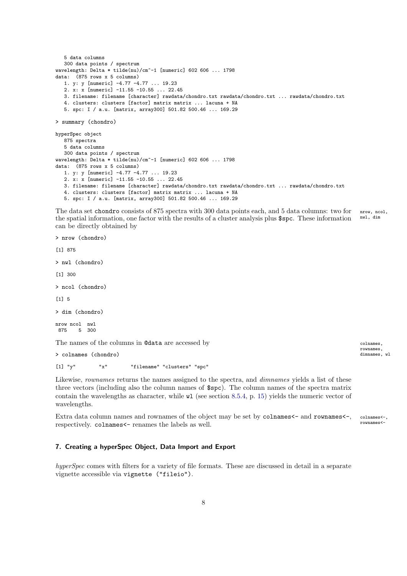```
5 data columns
   300 data points / spectrum
wavelength: Delta * tilde(nu)/cm^-1 [numeric] 602 606 ... 1798
data: (875 rows x 5 columns)
   1. y: y [numeric] -4.77 -4.77 ... 19.23
   2. x: x [numeric] -11.55 -10.55 ... 22.45
   3. filename: filename [character] rawdata/chondro.txt rawdata/chondro.txt ... rawdata/chondro.txt
   4. clusters: clusters [factor] matrix matrix ... lacuna + NA
   5. spc: I / a.u. [matrix, array300] 501.82 500.46 ... 169.29
> summary (chondro)
hyperSpec object
   875 spectra
   5 data columns
   300 data points / spectrum
wavelength: Delta * tilde(nu)/cm^-1 [numeric] 602 606 ... 1798
data: (875 rows x 5 columns)
   1. y: y [numeric] -4.77 -4.77 ... 19.23
   2. x: x [numeric] -11.55 -10.55 ... 22.45
   3. filename: filename [character] rawdata/chondro.txt rawdata/chondro.txt ... rawdata/chondro.txt
   4. clusters: clusters [factor] matrix matrix ... lacuna + NA
   5. spc: I / a.u. [matrix, array300] 501.82 500.46 ... 169.29
```
The data set chondro consists of 875 spectra with 300 data points each, and 5 data columns: two for nrow, ncol, the gradial information and factor with the results of a cluster anglue for a These information.  $\mathbb{R}^d$ , d the spatial information, one factor with the results of a cluster analysis plus \$spc. These information can be directly obtained by

> nrow (chondro)

[1] 875

> nwl (chondro)

[1] 300

> ncol (chondro)

[1] 5

> dim (chondro)

nrow ncol nwl 875 5 300

The names of the columns in **@data** are accessed by colnames,

 $>$  colnames (chondro)

[1] "y" "x" "filename" "clusters" "spc"

Likewise, *rownames* returns the names assigned to the spectra, and *dimnames* yields a list of these three vectors (including also the column names of \$spc). The column names of the spectra matrix contain the wavelengths as character, while wl (see section [8.5.4,](#page-14-1) p. [15\)](#page-14-1) yields the numeric vector of wavelengths.

Extra data column names and rownames of the object may be set by colnames<- and rownames<-, colnames<-, rownames<-, rownames<-, rownames<-, rownames<-, rownames respectively. colnames <- renames the labels as well.

# <span id="page-7-0"></span>7. Creating a hyperSpec Object, Data Import and Export

*hyperSpec* comes with filters for a variety of file formats. These are discussed in detail in a separate vignette accessible via vignette ("fileio").

rownames,<br>dimnames, wl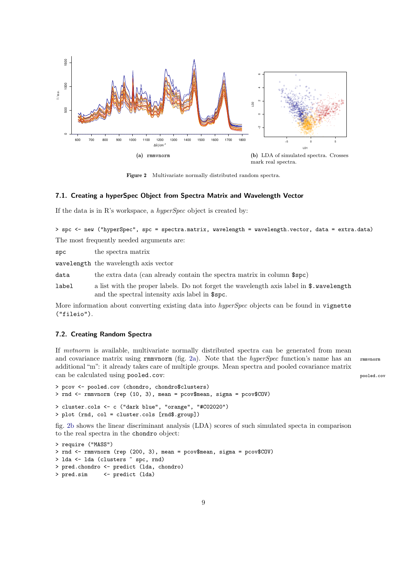<span id="page-8-2"></span>

<span id="page-8-3"></span>Figure 2 Multivariate normally distributed random spectra.

#### <span id="page-8-0"></span>7.1. Creating a hyperSpec Object from Spectra Matrix and Wavelength Vector

If the data is in R's workspace, a *hyperSpec* object is created by:

> spc <- new ("hyperSpec", spc = spectra.matrix, wavelength = wavelength.vector, data = extra.data) The most frequently needed arguments are:

spc the spectra matrix

wavelength the wavelength axis vector

data the extra data (can already contain the spectra matrix in column \$spc)

label a list with the proper labels. Do not forget the wavelength axis label in \$.wavelength and the spectral intensity axis label in \$spc.

More information about converting existing data into *hyperSpec* objects can be found in vignette ("fileio").

# <span id="page-8-1"></span>7.2. Creating Random Spectra

If *mvtnorm* is available, multivariate normally distributed spectra can be generated from mean and covariance matrix using rmmvnorm (fig. [2a\)](#page-8-2). Note that the *hyperSpec* function's name has an rmmvnorm additional "m": it already takes care of multiple groups. Mean spectra and pooled covariance matrix can be calculated using pooled.cov: pooled.cov

```
> pcov <- pooled.cov (chondro, chondro$clusters)
> rnd <- rmmvnorm (rep (10, 3), mean = pcov$mean, sigma = pcov$COV)
> cluster.cols <- c ("dark blue", "orange", "#C02020")
> plot (rnd, col = cluster.cols [rnd$.group])
```
fig. [2b](#page-8-3) shows the linear discriminant analysis (LDA) scores of such simulated specta in comparison to the real spectra in the chondro object:

```
> require ("MASS")
> rnd <- rmmvnorm (rep (200, 3), mean = pcov$mean, sigma = pcov$COV)
> lda <- lda (clusters ~ spc, rnd)
> pred.chondro <- predict (lda, chondro)
> pred.sim <- predict (lda)
```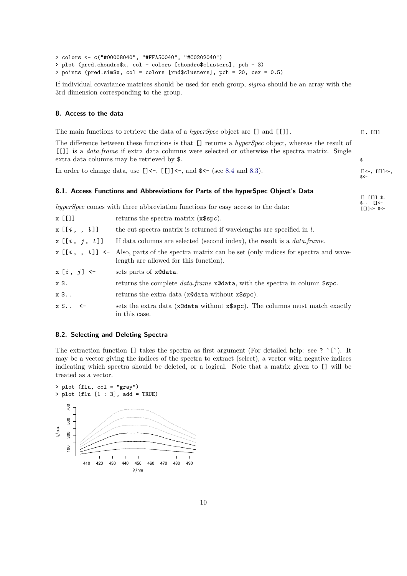```
> colors <- c("#00008040", "#FFA50040", "#C0202040")
> plot (pred.chondro$x, col = colors [chondro$clusters], pch = 3)
> points (pred.sim$x, col = colors [rnd$clusters], pch = 20, cex = 0.5)
```
If individual covariance matrices should be used for each group, *sigma* should be an array with the 3rd dimension corresponding to the group.

#### <span id="page-9-0"></span>8. Access to the data

The main functions to retrieve the data of a *hyperSpec* object are [] and [[]]. [], [[]]

The difference between these functions is that [] returns a *hyperSpec* object, whereas the result of [[]] is a *data.frame* if extra data columns were selected or otherwise the spectra matrix. Single extra data columns may be retrieved by  $\$ .  $\ast$ 

In order to change data, use  $[] \leftarrow$ ,  $[] \leftarrow$ , and  $\ast$  (see [8.4](#page-12-0) and [8.3\)](#page-11-0). [[]  $\leftarrow$ , [[]  $\leftarrow$ , [[]  $\leftarrow$ ,

# <span id="page-9-1"></span>8.1. Access Functions and Abbreviations for Parts of the hyperSpec Object's Data

*hyperSpec* comes with three abbreviation functions for easy access to the data:  $\begin{array}{c} \text{${\ast$}}\,. \end{array}$ 

| $x$ [[]]            | returns the spectra matrix (x\\$spc).                                                                                                        |
|---------------------|----------------------------------------------------------------------------------------------------------------------------------------------|
| x[[i, , l]]         | the cut spectra matrix is returned if wavelengths are specified in $l$ .                                                                     |
| x [[i, j, l]]       | If data columns are selected (second index), the result is a <i>data frame</i> .                                                             |
|                     | $x \in [i, k]$ <- Also, parts of the spectra matrix can be set (only indices for spectra and wave-<br>length are allowed for this function). |
| $x[i, j]$ <-        | sets parts of x@data.                                                                                                                        |
| x \$.               | returns the complete <i>data.frame</i> x@data, with the spectra in column \$spc.                                                             |
| x \$                | returns the extra data (x@data without x\$spc).                                                                                              |
| $x$ \$ $\leftarrow$ | sets the extra data (x@data without x\$spc). The columns must match exactly<br>in this case.                                                 |

# <span id="page-9-2"></span>8.2. Selecting and Deleting Spectra

The extraction function [] takes the spectra as first argument (For detailed help: see ? `[`). It may be a vector giving the indices of the spectra to extract (select), a vector with negative indices indicating which spectra should be deleted, or a logical. Note that a matrix given to [] will be treated as a vector.



 $s$  < –

 $[ ] [[] ]$  \$.<br>\$..  $[ ] < -$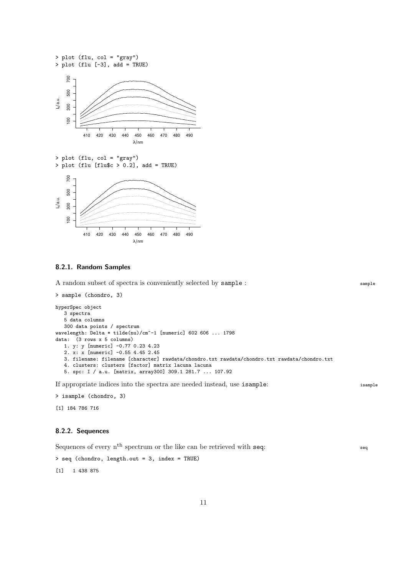

#### <span id="page-10-0"></span>8.2.1. Random Samples

A random subset of spectra is conveniently selected by sample : sample : sample

```
> sample (chondro, 3)
hyperSpec object
   3 spectra
   5 data columns
   300 data points / spectrum
wavelength: Delta * tilde(nu)/cm^-1 [numeric] 602 606 ... 1798
data: (3 rows x 5 columns)
   1. y: y [numeric] -0.77 0.23 4.23
   2. x: x [numeric] -0.55 4.45 2.45
   3. filename: filename [character] rawdata/chondro.txt rawdata/chondro.txt rawdata/chondro.txt
   4. clusters: clusters [factor] matrix lacuna lacuna
   5. spc: I / a.u. [matrix, array300] 309.1 281.7 ... 107.92
```
If appropriate indices into the spectra are needed instead, use isample: isample

> isample (chondro, 3)

[1] 184 786 716

# <span id="page-10-1"></span>8.2.2. Sequences

Sequences of every  $n<sup>th</sup>$  spectrum or the like can be retrieved with seq: seq

```
> seq (chondro, length.out = 3, index = TRUE)
```
[1] 1 438 875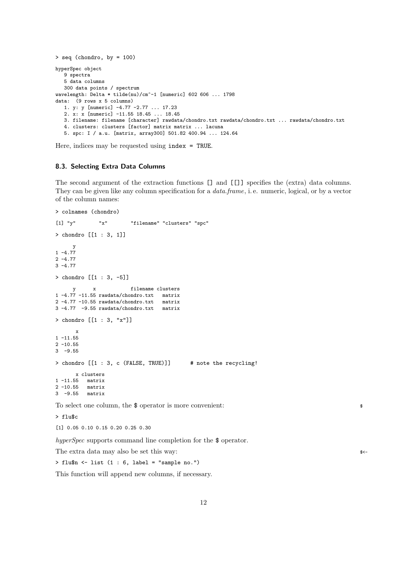```
> seq (chondro, by = 100)
hyperSpec object
   9 spectra
   5 data columns
   300 data points / spectrum
wavelength: Delta * tilde(nu)/cm^-1 [numeric] 602 606 ... 1798
data: (9 rows x 5 columns)
   1. y: y [numeric] -4.77 -2.77 ... 17.23
   2. x: x [numeric] -11.55 18.45 ... 18.45
   3. filename: filename [character] rawdata/chondro.txt rawdata/chondro.txt ... rawdata/chondro.txt
   4. clusters: clusters [factor] matrix matrix ... lacuna
   5. spc: I / a.u. [matrix, array300] 501.82 400.94 ... 124.64
```
Here, indices may be requested using index = TRUE.

#### <span id="page-11-0"></span>8.3. Selecting Extra Data Columns

The second argument of the extraction functions [] and [[]] specifies the (extra) data columns. They can be given like any column specification for a *data.frame*, i. e. numeric, logical, or by a vector of the column names:

```
> colnames (chondro)
[1] "y" "x" "filename" "clusters" "spc"
> chondro [[1 : 3, 1]]
     y
1 - 4.772 - 4.773 -4.77
> chondro [[1 : 3, -5]]
     y x filename clusters
1 -4.77 -11.55 rawdata/chondro.txt matrix
2 -4.77 -10.55 rawdata/chondro.txt matrix
3 -4.77 -9.55 rawdata/chondro.txt matrix
> chondro [[1 : 3, "x"]]
      x
1 - 11.552 - 10.553 -9.55
> chondro [[1 : 3, c (FALSE, TRUE)]] # note the recycling!
     x clusters
1 -11.55 matrix
2 -10.55 matrix
3 -9.55 matrix
To select one column, the $ operator is more convenient: \ast> flu$c
[1] 0.05 0.10 0.15 0.20 0.25 0.30
```
*hyperSpec* supports command line completion for the \$ operator.

The extra data may also be set this way:  $\frac{1}{2}$ 

 $>$  flu\$n  $\le$ - list (1 : 6, label = "sample no.")

This function will append new columns, if necessary.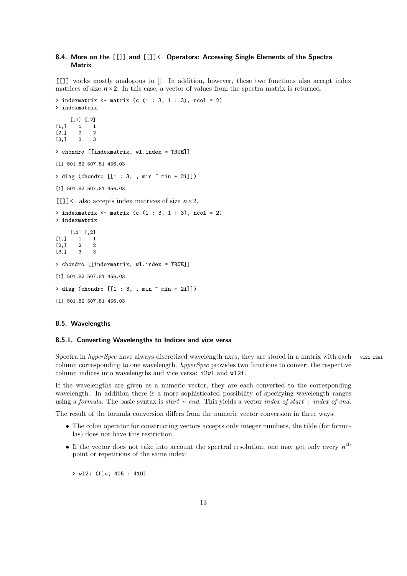# <span id="page-12-3"></span><span id="page-12-0"></span>8.4. More on the [[]] and [[]]<- Operators: Accessing Single Elements of the Spectra **Matrix**

[[]] works mostly analogous to []. In addition, however, these two functions also accept index matrices of size  $n \times 2$ . In this case, a vector of values from the spectra matrix is returned.

```
> indexmatrix \leftarrow matrix (c (1 : 3, 1 : 3), ncol = 2)
> indexmatrix
      [,1] [,2]
\begin{bmatrix} 1, \\ 1, \\ 2, \\ 2 \end{bmatrix} 1 1<br>\begin{bmatrix} 1 & 1 \\ 2 & 2 \end{bmatrix}\begin{bmatrix} 2, \\ 3, \\ 3 \end{bmatrix} 2
[3,] 3 3
> chondro [[indexmatrix, wl.index = TRUE]]
[1] 501.82 507.81 456.03
> diag (chondro [[1 : 3, , min \tilde{m} min + 2i]])
[1] 501.82 507.81 456.03
[[]]<- also accepts index matrices of size n ×2.
> indexmatrix <- matrix (c (1 : 3, 1 : 3), ncol = 2)
> indexmatrix
      [,1] [,2]
[1, 1 \ 1 \ 1]\begin{bmatrix} 2, & 2 & 2 \\ 3, & 3 & 3 \end{bmatrix}[3,]> chondro [[indexmatrix, wl.index = TRUE]]
[1] 501.82 507.81 456.03
> diag (chondro [[1 : 3, , min ~ min + 2i]])
[1] 501.82 507.81 456.03
```
#### <span id="page-12-1"></span>8.5. Wavelengths

#### <span id="page-12-2"></span>8.5.1. Converting Wavelengths to Indices and vice versa

Spectra in *hyperSpec* have always discretized wavelength axes, they are stored in a matrix with each will value column corresponding to one wavelength. *hyperSpec* provides two functions to convert the respective column indices into wavelengths and vice versa: i2wl and wl2i.

If the wavelengths are given as a numeric vector, they are each converted to the corresponding wavelength. In addition there is a more sophisticated possibility of specifying wavelength ranges using a *formula*. The basic syntax is *start* ∼ *end.* This yields a vector *index of start* : *index of end.*

The result of the formula conversion differs from the numeric vector conversion in three ways:

- The colon operator for constructing vectors accepts only integer numbers, the tilde (for formulas) does not have this restriction.
- If the vector does not take into account the spectral resolution, one may get only every  $n^{\text{th}}$ point or repetitions of the same index:

> wl2i (flu, 405 : 410)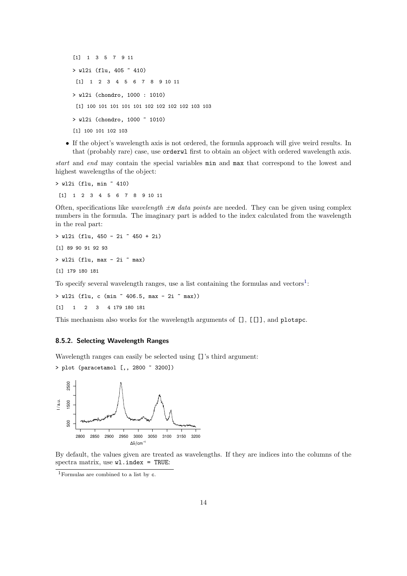[1] 1 3 5 7 9 11 > wl2i (flu, 405 ~ 410) [1] 1 2 3 4 5 6 7 8 9 10 11 > wl2i (chondro, 1000 : 1010) [1] 100 101 101 101 101 102 102 102 102 103 103 > wl2i (chondro, 1000 ~ 1010) [1] 100 101 102 103

• If the object's wavelength axis is not ordered, the formula approach will give weird results. In that (probably rare) case, use orderwl first to obtain an object with ordered wavelength axis.

*start* and *end* may contain the special variables min and max that correspond to the lowest and highest wavelengths of the object:

> wl2i (flu, min ~ 410) [1] 1 2 3 4 5 6 7 8 9 10 11

Often, specifications like *wavelength*  $\pm n$  *data points* are needed. They can be given using complex numbers in the formula. The imaginary part is added to the index calculated from the wavelength in the real part:

> wl2i (flu, 450 - 2i ~ 450 + 2i) [1] 89 90 91 92 93  $>$  wl2i (flu, max - 2i  $\tilde{m}$  max) [1] 179 180 181

To specify several wavelength ranges, use a list containing the formulas and vectors<sup>[1](#page-13-1)</sup>:

> wl2i (flu, c (min ~ 406.5, max - 2i ~ max))

[1] 1 2 3 4 179 180 181

This mechanism also works for the wavelength arguments of [], [[]], and plotspc.

# <span id="page-13-0"></span>8.5.2. Selecting Wavelength Ranges

Wavelength ranges can easily be selected using []'s third argument:



2800 2850 2900 2950 3000 3050 3100 3150 3200

 $\Delta \tilde{v}$  / cm<sup>-1</sup>

By default, the values given are treated as wavelengths. If they are indices into the columns of the spectra matrix, use  $w1.index = TRUE$ :

<span id="page-13-1"></span><sup>1</sup>Formulas are combined to a list by <sup>c</sup>.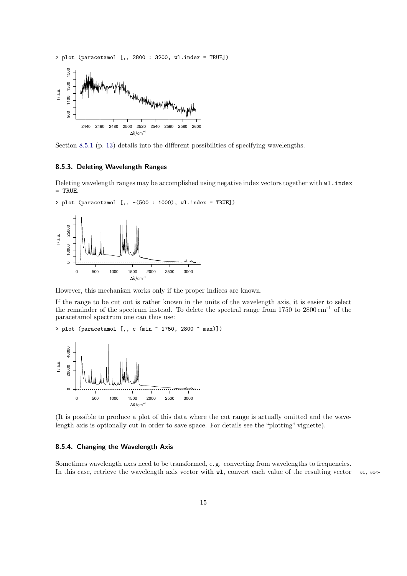<span id="page-14-2"></span>



Section [8.5.1](#page-12-2) (p. [13\)](#page-12-2) details into the different possibilities of specifying wavelengths.

#### <span id="page-14-0"></span>8.5.3. Deleting Wavelength Ranges

Deleting wavelength ranges may be accomplished using negative index vectors together with wl.index = TRUE.

> plot (paracetamol [,, -(500 : 1000), wl.index = TRUE])



However, this mechanism works only if the proper indices are known.

If the range to be cut out is rather known in the units of the wavelength axis, it is easier to select the remainder of the spectrum instead. To delete the spectral range from 1750 to 2800 cm-1 of the paracetamol spectrum one can thus use:

> plot (paracetamol [,, c (min ~ 1750, 2800 ~ max)])



(It is possible to produce a plot of this data where the cut range is actually omitted and the wavelength axis is optionally cut in order to save space. For details see the "plotting" vignette).

# <span id="page-14-1"></span>8.5.4. Changing the Wavelength Axis

Sometimes wavelength axes need to be transformed, e. g. converting from wavelengths to frequencies. In this case, retrieve the wavelength axis vector with  $\nu$ 1, convert each value of the resulting vector  $\nu$ 1,  $\nu$ 1<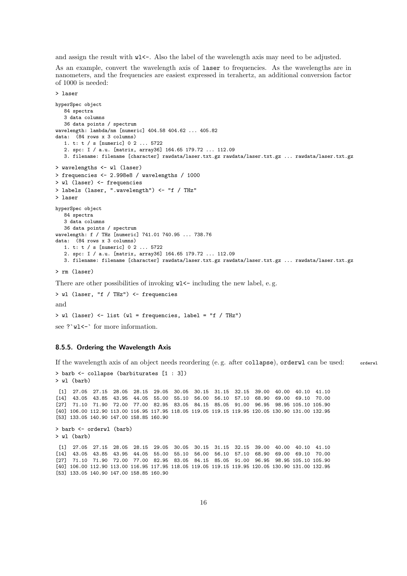and assign the result with  $w1<\sim$ . Also the label of the wavelength axis may need to be adjusted.

As an example, convert the wavelength axis of laser to frequencies. As the wavelengths are in nanometers, and the frequencies are easiest expressed in terahertz, an additional conversion factor of 1000 is needed:

> laser

```
hyperSpec object
   84 spectra
   3 data columns
   36 data points / spectrum
wavelength: lambda/nm [numeric] 404.58 404.62 ... 405.82
data: (84 rows x 3 columns)
   1. t: t / s [numeric] 0 2 ... 5722
   2. spc: I / a.u. [matrix, array36] 164.65 179.72 ... 112.09
   3. filename: filename [character] rawdata/laser.txt.gz rawdata/laser.txt.gz ... rawdata/laser.txt.gz
> wavelengths <- wl (laser)
> frequencies <- 2.998e8 / wavelengths / 1000
> wl (laser) <- frequencies
> labels (laser, ".wavelength") <- "f / THz"
> laser
hyperSpec object
   84 spectra
   3 data columns
   36 data points / spectrum
wavelength: f / THz [numeric] 741.01 740.95 ... 738.76
data: (84 rows x 3 columns)
   1. t: t / s [numeric] 0 2 ... 5722
   2. spc: I / a.u. [matrix, array36] 164.65 179.72 ... 112.09
   3. filename: filename [character] rawdata/laser.txt.gz rawdata/laser.txt.gz ... rawdata/laser.txt.gz
> rm (laser)
There are other possibilities of invoking w1 - including the new label, e.g.
> wl (laser, "f / THz") <- frequencies
```
and

> wl (laser) <- list (wl = frequencies, label = "f / THz")

see ?`wl <-` for more information.

#### <span id="page-15-0"></span>8.5.5. Ordering the Wavelength Axis

> barb <- collapse (barbiturates [1 : 3])

If the wavelength axis of an object needs reordering (e. g. after collapse), orderwl can be used: orderwl

```
> wl (barb)
 [1] 27.05 27.15 28.05 28.15 29.05 30.05 30.15 31.15 32.15 39.00 40.00 40.10 41.10
[14] 43.05 43.85 43.95 44.05 55.00 55.10 56.00 56.10 57.10 68.90 69.00 69.10 70.00
[27] 71.10 71.90 72.00 77.00 82.95 83.05 84.15 85.05 91.00 96.95 98.95 105.10 105.90
[40] 106.00 112.90 113.00 116.95 117.95 118.05 119.05 119.15 119.95 120.05 130.90 131.00 132.95
[53] 133.05 140.90 147.00 158.85 160.90
> barb <- orderwl (barb)
> wl (barb)
[1] 27.05 27.15 28.05 28.15 29.05 30.05 30.15 31.15 32.15 39.00 40.00 40.10 41.10
[14] 43.05 43.85 43.95 44.05 55.00 55.10 56.00 56.10 57.10 68.90 69.00 69.10 70.00
[27] 71.10 71.90 72.00 77.00 82.95 83.05 84.15 85.05 91.00 96.95 98.95 105.10 105.90
[40] 106.00 112.90 113.00 116.95 117.95 118.05 119.05 119.15 119.95 120.05 130.90 131.00 132.95
[53] 133.05 140.90 147.00 158.85 160.90
```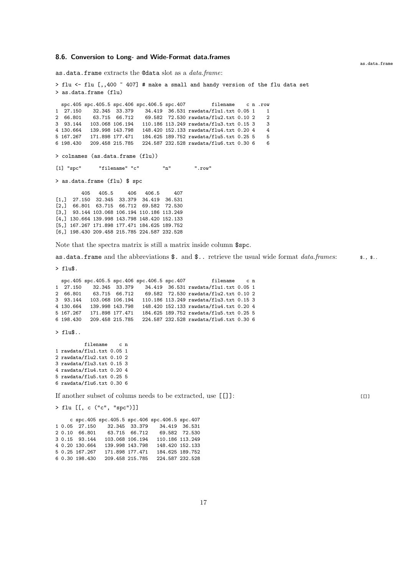#### <span id="page-16-0"></span>8.6. Conversion to Long- and Wide-Format data.frames

as.data.frame extracts the @data slot as a *data.frame*:

> flu <- flu [,,400  $\degree$  407] # make a small and handy version of the flu data set > as.data.frame (flu)

spc.405 spc.405.5 spc.406 spc.406.5 spc.407 filename c n .row 1 27.150 32.345 33.379 34.419 36.531 rawdata/flu1.txt 0.05 1 1 2 66.801 63.715 66.712 69.582 72.530 rawdata/flu2.txt 0.10 2 2 3 93.144 103.068 106.194 110.186 113.249 rawdata/flu3.txt 0.15 3 3 4 130.664 139.998 143.798 148.420 152.133 rawdata/flu4.txt 0.20 4 4 184.625 189.752 rawdata/flu5.txt 0.25 5 5 6 198.430 209.458 215.785 224.587 232.528 rawdata/flu6.txt 0.30 6 6 > colnames (as.data.frame (flu))  $[1]$  "spc" "filename" "c" "n" ".row" > as.data.frame (flu) \$ spc 405 405.5 406 406.5 407 [1,] 27.150 32.345 33.379 34.419 36.531 [2,] 66.801 63.715 66.712 69.582 72.530 [3,] 93.144 103.068 106.194 110.186 113.249 [4,] 130.664 139.998 143.798 148.420 152.133

Note that the spectra matrix is still a matrix inside column \$spc.

[5,] 167.267 171.898 177.471 184.625 189.752 [6,] 198.430 209.458 215.785 224.587 232.528

as.data.frame and the abbreviations \$. and \$.. retrieve the usual wide format *data.frames*:  $\bullet$ .,  $\bullet$ ..

> flu\$.

|           | spc.405 spc.405.5 spc.406 spc.406.5 spc.407 |                 |  | filename                                | c n |  |
|-----------|---------------------------------------------|-----------------|--|-----------------------------------------|-----|--|
| 1 27.150  |                                             | 32.345 33.379   |  | 34.419 36.531 rawdata/flu1.txt 0.05 1   |     |  |
| 2 66.801  |                                             | 63.715 66.712   |  | 69.582 72.530 rawdata/flu2.txt 0.10 2   |     |  |
| 3 93.144  |                                             | 103.068 106.194 |  | 110.186 113.249 rawdata/flu3.txt 0.15 3 |     |  |
| 4 130.664 |                                             | 139.998 143.798 |  | 148.420 152.133 rawdata/flu4.txt 0.20 4 |     |  |
| 5 167.267 | 171.898 177.471                             |                 |  | 184.625 189.752 rawdata/flu5.txt 0.25 5 |     |  |
| 6 198.430 |                                             | 209.458 215.785 |  | 224.587 232.528 rawdata/flu6.txt 0.30 6 |     |  |

> flu\$..

filename c n 1 rawdata/flu1.txt 0.05 1 2 rawdata/flu2.txt 0.10 2 3 rawdata/flu3.txt 0.15 3 4 rawdata/flu4.txt 0.20 4 5 rawdata/flu5.txt 0.25 5 6 rawdata/flu6.txt 0.30 6

If another subset of colums needs to be extracted, use [[]]: [[]]

> flu [[, c ("c", "spc")]]

c spc.405 spc.405.5 spc.406 spc.406.5 spc.407<br>1 0.05 27.150 32.345 33.379 34.419 36.531  $1 \t0.05 \t27.150 \t32.345 \t33.379$ <br>2 0.10 66.801 63.715 66.712 2 0.10 66.712<br>2 0.582 72.530<br>2 103.068 106.194 110.186 113.249 3 0.15 93.144 103.068 106.194<br>4 0.20 130.664 139.998 143.798 148.420 152.133<br>184.625 189.752 5 0.25 167.267 171.898 177.471 6 0.30 198.430 209.458 215.785 224.587 232.528 as.data.frame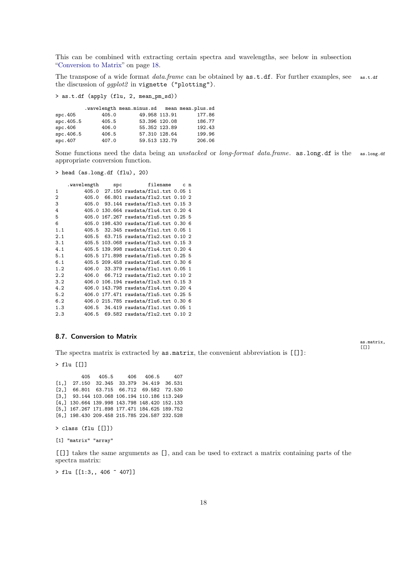This can be combined with extracting certain spectra and wavelengths, see below in subsection ["Conversion to Matrix"](#page-17-0) on page [18.](#page-17-0)

The transpose of a wide format *data.frame* can be obtained by as.t.df. For further examples, see as.t.df the discussion of *ggplot2* in vignette ("plotting").

> as.t.df (apply (flu, 2, mean\_pm\_sd))

|           |       | .wavelength mean.minus.sd mean mean.plus.sd |        |
|-----------|-------|---------------------------------------------|--------|
| src.405   | 405.0 | 49.958 113.91                               | 177.86 |
| spc.405.5 | 405.5 | 53.396 120.08                               | 186.77 |
| spc.406   | 406.0 | 55.352 123.89                               | 192.43 |
| spc.406.5 | 406.5 | 57.310 128.64                               | 199.96 |
| src.407   | 407.0 | 59.513 132.79                               | 206.06 |

Some functions need the data being an *unstacked* or *long-format data.frame*. as.long.df is the as.long.df appropriate conversion function.

> as.matrix,  $[[]]$

> head (as.long.df (flu), 20)

|     | .wavelength | $_{\rm{spc}}$ | filename                              | c n |  |
|-----|-------------|---------------|---------------------------------------|-----|--|
| 1   |             |               | 405.0 27.150 rawdata/flu1.txt 0.05 1  |     |  |
| 2   | 405.0       |               | 66.801 rawdata/flu2.txt 0.10 2        |     |  |
| 3   | 405.0       |               | 93.144 rawdata/flu3.txt  0.15  3      |     |  |
| 4   | 405.0       |               | 130.664 rawdata/flu4.txt 0.20 4       |     |  |
| 5   | 405.0       |               | 167.267 rawdata/flu5.txt 0.25 5       |     |  |
| 6   |             |               | 405.0 198.430 rawdata/flu6.txt 0.30 6 |     |  |
| 1.1 |             |               | 405.5 32.345 rawdata/flu1.txt 0.05 1  |     |  |
| 2.1 |             |               | 405.5 63.715 rawdata/flu2.txt 0.10 2  |     |  |
| 3.1 |             |               | 405.5 103.068 rawdata/flu3.txt 0.15 3 |     |  |
| 4.1 |             |               | 405.5 139.998 rawdata/flu4.txt 0.20 4 |     |  |
| 5.1 |             |               | 405.5 171.898 rawdata/flu5.txt 0.25 5 |     |  |
| 6.1 |             |               | 405.5 209.458 rawdata/flu6.txt 0.30 6 |     |  |
| 1.2 |             |               | 406.0 33.379 rawdata/flu1.txt 0.05 1  |     |  |
| 2.2 |             |               | 406.0 66.712 rawdata/flu2.txt 0.10 2  |     |  |
| 3.2 |             |               | 406.0 106.194 rawdata/flu3.txt 0.15 3 |     |  |
| 4.2 |             |               | 406.0 143.798 rawdata/flu4.txt 0.20 4 |     |  |
| 5.2 | 406.0       |               | 177.471 rawdata/flu5.txt 0.25 5       |     |  |
| 6.2 |             |               | 406.0 215.785 rawdata/flu6.txt 0.30 6 |     |  |
| 1.3 |             |               | 406.5 34.419 rawdata/flu1.txt 0.05 1  |     |  |
| 2.3 |             |               | 406.5 69.582 rawdata/flu2.txt 0.10 2  |     |  |

# <span id="page-17-0"></span>8.7. Conversion to Matrix

The spectra matrix is extracted by as.matrix, the convenient abbreviation is [[]]:

> flu [[]]

405 405.5 406 406.5 407 [1,] 27.150 32.345 33.379 34.419 36.531 [2,] 66.801 63.715 66.712 69.582 72.530 [3,] 93.144 103.068 106.194 110.186 113.249 [4,] 130.664 139.998 143.798 148.420 152.133 [5,] 167.267 171.898 177.471 184.625 189.752 [6,] 198.430 209.458 215.785 224.587 232.528

> class (flu [[]])

[1] "matrix" "array"

[[]] takes the same arguments as [], and can be used to extract a matrix containing parts of the spectra matrix:

> flu [[1:3,, 406 ~ 407]]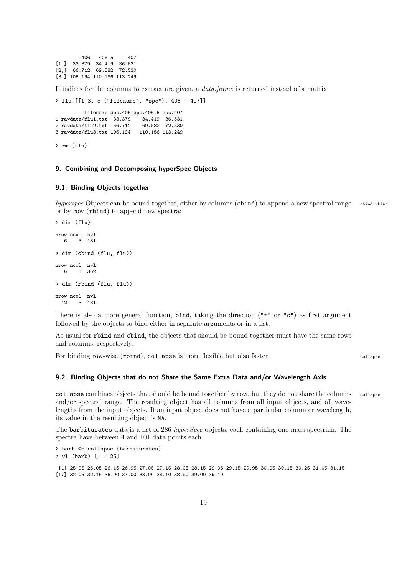406 406.5 407 [1,] 33.379 34.419 36.531 [2,] 66.712 69.582 72.530 [3,] 106.194 110.186 113.249

If indices for the columns to extract are given, a *data.frame* is returned instead of a matrix:

```
> flu [[1:3, c ("filename", "spc"), 406 ~ 407]]
```
filename spc.406 spc.406.5 spc.407<br>flu1.txt 33.379 34.419 36.531 1 rawdata/flu1.txt 33.379 34.419 36.531 2 rawdata/flu2.txt  $66.712$ 3 rawdata/flu3.txt 106.194 110.186 113.249

> rm (flu)

# <span id="page-18-0"></span>9. Combining and Decomposing hyperSpec Objects

#### <span id="page-18-1"></span>9.1. Binding Objects together

*hyperspec* Objects can be bound together, either by columns (cbind) to append a new spectral range chind rbind or by row (rbind) to append new spectra:

```
> dim (flu)
nrow ncol nwl
  6 3 181
> dim (cbind (flu, flu))
nrow ncol nwl
  6 3 362
> dim (rbind (flu, flu))
nrow ncol nwl
 12 3 181
```
There is also a more general function, bind, taking the direction  $(\mathbf{r} \mathbf{r} \cdot \mathbf{r} \cdot \mathbf{r})$  as first argument followed by the objects to bind either in separate arguments or in a list.

As usual for rbind and cbind, the objects that should be bound together must have the same rows and columns, respectively.

For binding row-wise (rbind), collapse is more flexible but also faster. collapse

# <span id="page-18-2"></span>9.2. Binding Objects that do not Share the Same Extra Data and/or Wavelength Axis

collapse combines objects that should be bound together by row, but they do not share the columns collapse and/or spectral range. The resulting object has all columns from all input objects, and all wavelengths from the input objects. If an input object does not have a particular column or wavelength, its value in the resulting object is NA.

The barbiturates data is a list of 286 *hyperSpec* objects, each containing one mass spectrum. The spectra have between 4 and 101 data points each.

> barb <- collapse (barbiturates) > wl (barb) [1 : 25] [1] 25.95 26.05 26.15 26.95 27.05 27.15 28.05 28.15 29.05 29.15 29.95 30.05 30.15 30.25 31.05 31.15 [17] 32.05 32.15 36.90 37.00 38.00 38.10 38.90 39.00 39.10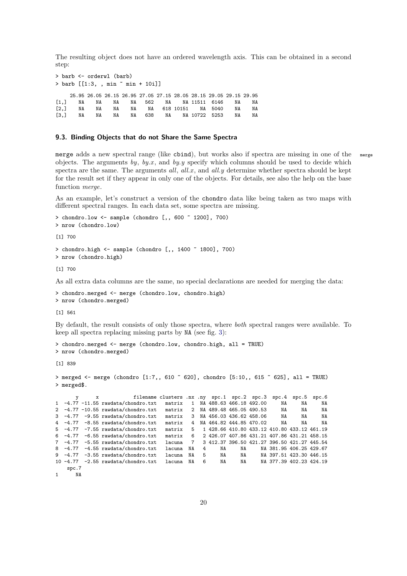The resulting object does not have an ordered wavelength axis. This can be obtained in a second step:

```
> barb <- orderwl (barb)
> barb [[1:3, , min ~ min + 10i]]
   25.95 26.05 26.15 26.95 27.05 27.15 28.05 28.15 29.05 29.15 29.95
[1,] NA NA NA NA 562 NA NA 11511 6146 NA NA
[2,] NA NA NA NA NA 618 10151 NA 5040 NA NA
      NA NA NA NA 638 NA NA 10722 5253 NA NA
```
#### <span id="page-19-0"></span>9.3. Binding Objects that do not Share the Same Spectra

merge adds a new spectral range (like cbind), but works also if spectra are missing in one of the merge objects. The arguments *by*, *by.x* , and *by.y* specify which columns should be used to decide which spectra are the same. The arguments *all*, *all.x* , and *all.y* determine whether spectra should be kept for the result set if they appear in only one of the objects. For details, see also the help on the base function *merge*.

As an example, let's construct a version of the chondro data like being taken as two maps with different spectral ranges. In each data set, some spectra are missing.

```
> chondro.low <- sample (chondro [,, 600 ~ 1200], 700)
> nrow (chondro.low)
[1] 700
> chondro.high <- sample (chondro [,, 1400 ~ 1800], 700)
> nrow (chondro.high)
[1] 700
```
As all extra data columns are the same, no special declarations are needed for merging the data:

```
> chondro.merged <- merge (chondro.low, chondro.high)
> nrow (chondro.merged)
```
[1] 561

By default, the result consists of only those spectra, where *both* spectral ranges were available. To keep all spectra replacing missing parts by NA (see fig. [3\)](#page-20-0):

```
> chondro.merged <- merge (chondro.low, chondro.high, all = TRUE)
> nrow (chondro.merged)
```
[1] 839

```
> merged <- merge (chondro [1:7,, 610 - 620], chondro [5:10,, 615 - 625], all = TRUE)
> merged$.
```

|       | x |                                        | filename clusters .nx .ny spc.1 spc.2 spc.3 |                |    |    |                                             | $\texttt{spc.4}$        | $\texttt{spc.5}$ | $_{\rm spc.6}$ |
|-------|---|----------------------------------------|---------------------------------------------|----------------|----|----|---------------------------------------------|-------------------------|------------------|----------------|
|       |   | $1 -4.77 -11.55$ rawdata/chondro.txt   | matrix                                      | $\mathbf{1}$   |    |    | NA 488.63 466.18 492.00                     | NA                      | NA               | NA             |
|       |   | 2 $-4.77$ -10.55 rawdata/chondro.txt   | matrix                                      | 2              |    |    | NA 489.48 465.05 490.53                     | NA                      | NA               | NA             |
|       |   | $3 -4.77 -9.55$ rawdata/chondro.txt    | matrix                                      |                |    |    | 3 NA 456.03 436.62 458.06                   | NA                      | NA               | NA             |
|       |   | $4 -4.77 -8.55$ rawdata/chondro.txt    | matrix                                      | $\overline{4}$ |    |    | NA 464.82 444.85 470.02                     | NA                      | NA               | NA             |
|       |   | $5 -4.77 -7.55$ rawdata/chondro.txt    | matrix                                      | 5.             |    |    | 1 428.66 410.80 433.12 410.80 433.12 461.19 |                         |                  |                |
|       |   | $6 -4.77 -6.55$ rawdata/chondro.txt    | matrix                                      | 6              |    |    | 2 426.07 407.86 431.21 407.86 431.21 458.15 |                         |                  |                |
|       |   | $7 -4.77 -5.55$ rawdata/chondro.txt    | lacuna                                      | 7              |    |    | 3 412.37 396.50 421.27 396.50 421.27 445.54 |                         |                  |                |
|       |   | $8 - 4.77 - 4.55$ rawdata/chondro.txt  | lacuna                                      | NA             | 4  | NA | NA                                          | NA 381.95 406.25 429.67 |                  |                |
|       |   | $9 -4.77 -3.55$ rawdata/chondro.txt    | lacuna                                      | NA             | -5 | NA | NA                                          | NA 397.51 423.30 446.15 |                  |                |
|       |   | 10 $-4.77$ $-2.55$ rawdata/chondro.txt | lacuna                                      | NA             | 6  | NA | NA                                          | NA 377.39 402.23 424.19 |                  |                |
| spc.7 |   |                                        |                                             |                |    |    |                                             |                         |                  |                |
| NA    |   |                                        |                                             |                |    |    |                                             |                         |                  |                |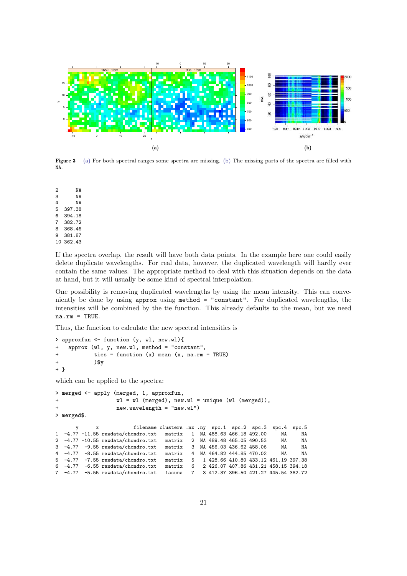<span id="page-20-1"></span><span id="page-20-0"></span>

<span id="page-20-2"></span>Figure 3 [\(a\)](#page-20-1) For both spectral ranges some spectra are missing. [\(b\)](#page-20-2) The missing parts of the spectra are filled with NA.

2 NA 3 NA 4 NA 5 397.38 6 394.18 7 382.72 8 368.46 9 381.87 10 362.43

If the spectra overlap, the result will have both data points. In the example here one could easily delete duplicate wavelengths. For real data, however, the duplicated wavelength will hardly ever contain the same values. The appropriate method to deal with this situation depends on the data at hand, but it will usually be some kind of spectral interpolation.

One possibility is removing duplicated wavelengths by using the mean intensity. This can conveniently be done by using approx using method = "constant". For duplicated wavelengths, the intensities will be combined by the tie function. This already defaults to the mean, but we need  $na.rm = TRUE$ .

Thus, the function to calculate the new spectral intensities is

```
> approxfun <- function (y, wl, new.wl){
    approx (wl, y, new.wl, method = "constant",
            ties = function (x) mean (x, na.rm = TRUE))\frac{1}{2}y
+ }
which can be applied to the spectra:
> merged <- apply (merged, 1, approxfun,
+ wl = wl (merged), new.wl = unique (wl (merged)),
+ new.wavelength = "new.wl")
> merged$.
                         filename clusters .nx .ny spc.1 spc.2 spc.3 spc.4 spc.5<br>bndro.txt matrix 1 NA 488.63 466.18 492.00 NA NA
1 -4.77 -11.55 rawdata/chondro.txt matrix 1 NA 488.63 466.18 492.00 NA NA
2 -4.77 -10.55 rawdata/chondro.txt matrix 2 NA 489.48 465.05 490.53 NA NA
3 -4.77 -9.55 rawdata/chondro.txt matrix 3 NA 456.03 436.62 458.06 NA NA
         -8.55 rawdata/chondro.txt matrix
5 -4.77 -7.55 rawdata/chondro.txt matrix 5 1 428.66 410.80 433.12 461.19 397.38
6 -4.77 -6.55 rawdata/chondro.txt matrix 6 2 426.07 407.86 431.21 458.15 394.18
  -4.77 -5.55 rawdata/chondro.txt lacuna 7
```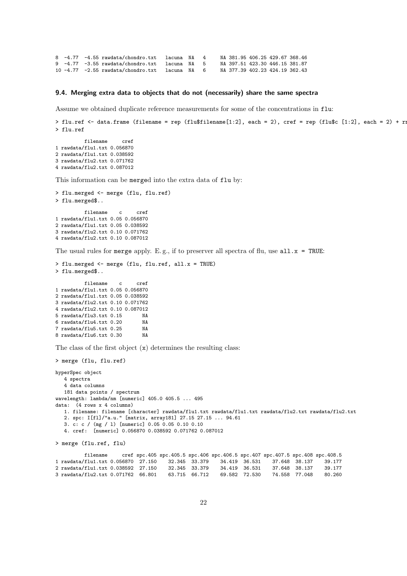8 -4.77 -4.55 rawdata/chondro.txt lacuna NA 4 NA 381.95 406.25 429.67 368.46 9  $-4.77$   $-3.55$  rawdata/chondro.txt lacuna NA 5 10 -4.77 -2.55 rawdata/chondro.txt lacuna NA 6 NA 377.39 402.23 424.19 362.43

#### <span id="page-21-0"></span>9.4. Merging extra data to objects that do not (necessarily) share the same spectra

Assume we obtained duplicate reference measurements for some of the concentrations in flu:

```
> flu.ref \le data.frame (filename = rep (flu$filename[1:2], each = 2), cref = rep (flu$c [1:2], each = 2) + rn
> flu.ref
```
filename cref 1 rawdata/flu1.txt 0.056870 2 rawdata/flu1.txt 0.038592 3 rawdata/flu2.txt 0.071762 4 rawdata/flu2.txt 0.087012

This information can be merged into the extra data of  $\texttt{flu}$  by:

```
> flu.merged <- merge (flu, flu.ref)
> flu.merged$..
         filename c cref
1 rawdata/flu1.txt 0.05 0.056870
2 rawdata/flu1.txt 0.05 0.038592
3 rawdata/flu2.txt 0.10 0.071762
4 rawdata/flu2.txt 0.10 0.087012
```
The usual rules for merge apply. E.g., if to preserver all spectra of flu, use  $all.x = TRUE$ :

```
> flu.merged <- merge (flu, flu.ref, all.x = TRUE)
> flu.merged$..
         filename c cref
1 rawdata/flu1.txt 0.05 0.056870
2 rawdata/flu1.txt 0.05 0.038592
3 rawdata/flu2.txt 0.10 0.071762
4 rawdata/flu2.txt 0.10 0.087012
5 rawdata/flu3.txt 0.15 NA
6 rawdata/flu4.txt 0.20 NA
7 rawdata/flu5.txt 0.258 rawdata/flu6.txt 0.30 NA
```
The class of the first object (x) determines the resulting class:

```
> merge (flu, flu.ref)
hyperSpec object
   4 spectra
   4 data columns
   181 data points / spectrum
wavelength: lambda/nm [numeric] 405.0 405.5 ... 495
data: (4 rows x 4 columns)
   1. filename: filename [character] rawdata/flu1.txt rawdata/flu1.txt rawdata/flu2.txt rawdata/flu2.txt
   2. spc: I[fl]/"a.u." [matrix, array181] 27.15 27.15 ... 94.61
   3. c: c / (mg / l) [numeric] 0.05 0.05 0.10 0.10
   4. cref: [numeric] 0.056870 0.038592 0.071762 0.087012
```
> merge (flu.ref, flu)

```
filename cref spc.405 spc.405.5 spc.406 spc.406.5 spc.407 spc.407.5 spc.408 spc.408.5
1 rawdata/flu1.txt 0.056870 27.150 32.345 33.379 34.419 36.531 37.648 38.137 39.177
2 rawdata/flu1.txt 0.038592 27.150 32.345 33.379 34.419 36.531 37.648 38.137 39.177
3 rawdata/flu2.txt 0.071762 66.801 63.715 66.712 69.582 72.530 74.558 77.048 80.260
```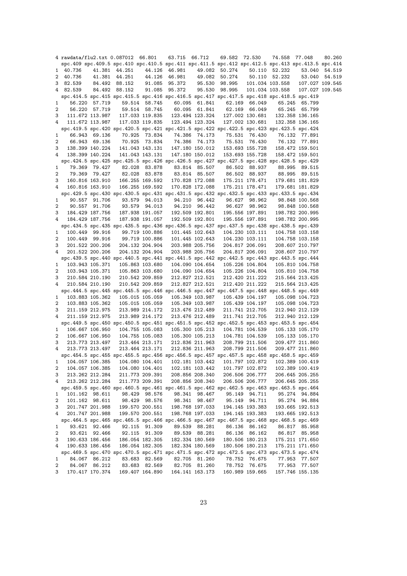|   |          |                 | 4 rawdata/flu2.txt 0.087012 66.801                                                                  |                 | 63.715 66.712 |                 | 69.582 72.530 |                 | 74.558 77.048   |                 | 80.260        |
|---|----------|-----------------|-----------------------------------------------------------------------------------------------------|-----------------|---------------|-----------------|---------------|-----------------|-----------------|-----------------|---------------|
|   |          |                 | spc.409 spc.409.5 spc.410 spc.410.5 spc.411 spc.411.5 spc.412 spc.412.5 spc.413 spc.413.5 spc.414   |                 |               |                 |               |                 |                 |                 |               |
|   | 1 40.736 |                 | 41.381 44.251                                                                                       |                 | 44.126 46.981 |                 | 49.082 50.274 |                 | 50.110 52.232   |                 | 53.040 54.519 |
|   | 2 40.736 |                 | 41.381 44.251                                                                                       | 44.126          | 46.981        |                 | 49.082 50.274 |                 | 50.110 52.232   |                 | 53.040 54.519 |
|   | 3 82.539 |                 | 84.492 88.152                                                                                       | 91.085          | 95.372        | 95.530          | 98.995        |                 | 101.034 103.558 | 107.027 109.545 |               |
|   | 4 82.539 |                 | 84.492 88.152                                                                                       | 91.085          | 95.372        | 95.530          | 98.995        |                 | 101.034 103.558 | 107.027 109.545 |               |
|   |          |                 | spc.414.5 spc.415 spc.415.5 spc.416 spc.416.5 spc.417 spc.417.5 spc.418 spc.418.5 spc.419           |                 |               |                 |               |                 |                 |                 |               |
| 1 |          | 56.220 57.719   |                                                                                                     | 59.514 58.745   |               | 60.095 61.841   |               | 62.169 66.049   |                 | 65.245 65.799   |               |
|   |          |                 |                                                                                                     |                 |               |                 |               |                 |                 |                 |               |
| 2 |          | 56.220 57.719   |                                                                                                     | 59.514 58.745   |               | 60.095 61.841   |               | 62.169 66.049   |                 | 65.245 65.799   |               |
| 3 |          |                 | 111.672 113.987 117.033 119.835                                                                     |                 |               | 123.494 123.324 |               | 127.002 130.681 |                 | 132.358 136.165 |               |
| 4 |          | 111.672 113.987 |                                                                                                     | 117.033 119.835 |               | 123.494 123.324 |               | 127.002 130.681 |                 | 132.358 136.165 |               |
|   |          |                 | spc.419.5 spc.420 spc.420.5 spc.421 spc.421.5 spc.422 spc.422.5 spc.423 spc.423.5 spc.424           |                 |               |                 |               |                 |                 |                 |               |
| 1 |          | 66.943 69.136   |                                                                                                     | 70.925 73.834   |               | 74.386 74.173   |               | 75.531 76.430   |                 | 76.132 77.891   |               |
| 2 |          | 66.943 69.136   |                                                                                                     | 70.925 73.834   |               | 74.386 74.173   |               | 75.531 76.430   |                 | 76.132 77.891   |               |
| 3 |          | 138.399 140.224 |                                                                                                     | 141.043 143.131 |               | 147.180 150.012 |               | 153.693 155.728 |                 | 158.472 159.501 |               |
| 4 |          | 138.399 140.224 |                                                                                                     | 141.043 143.131 |               | 147.180 150.012 |               | 153.693 155.728 |                 | 158.472 159.501 |               |
|   |          |                 | spc.424.5 spc.425 spc.425.5 spc.426 spc.426.5 spc.427 spc.427.5 spc.428 spc.428.5 spc.429           |                 |               |                 |               |                 |                 |                 |               |
| 1 |          | 79.369 79.427   |                                                                                                     | 82.028 83.878   |               | 83.814 85.507   |               | 86.502 88.937   |                 | 88.995 89.515   |               |
| 2 |          | 79.369 79.427   |                                                                                                     | 82.028 83.878   |               | 83.814 85.507   |               | 86.502 88.937   |                 | 88.995 89.515   |               |
| 3 |          | 160.816 163.910 | 166.255 169.592                                                                                     |                 |               | 170.828 172.088 |               | 175.211 178.471 |                 | 179.681 181.829 |               |
| 4 |          | 160.816 163.910 |                                                                                                     | 166.255 169.592 |               | 170.828 172.088 |               | 175.211 178.471 |                 | 179.681 181.829 |               |
|   |          |                 | spc. 429.5 spc. 430 spc. 430.5 spc. 431 spc. 431.5 spc. 432 spc. 432.5 spc. 433 spc. 433.5 spc. 434 |                 |               |                 |               |                 |                 |                 |               |
| 1 |          | 90.557 91.706   |                                                                                                     | 93.579 94.013   |               | 94.210 96.442   |               | 96.627 98.962   |                 | 98.848 100.568  |               |
| 2 |          | 90.557 91.706   |                                                                                                     | 93.579 94.013   |               | 94.210 96.442   |               |                 |                 |                 |               |
|   |          |                 |                                                                                                     |                 |               |                 |               | 96.627 98.962   |                 | 98.848 100.568  |               |
| 3 |          | 184.429 187.756 |                                                                                                     | 187.938 191.057 |               | 192.509 192.801 |               | 195.556 197.891 |                 | 198.782 200.995 |               |
| 4 |          | 184.429 187.756 |                                                                                                     | 187.938 191.057 |               | 192.509 192.801 |               | 195.556 197.891 |                 | 198.782 200.995 |               |
|   |          |                 | spc.434.5 spc.435 spc.435.5 spc.436 spc.436.5 spc.437 spc.437.5 spc.438 spc.438.5 spc.439           |                 |               |                 |               |                 |                 |                 |               |
| 1 |          | 100.449 99.916  |                                                                                                     | 99.719 100.886  |               | 101.445 102.643 |               | 104.230 103.111 |                 | 104.758 103.158 |               |
| 2 |          | 100.449 99.916  | 99.719 100.886                                                                                      |                 |               | 101.445 102.643 |               | 104.230 103.111 |                 | 104.758 103.158 |               |
| 3 |          | 201.522 200.206 |                                                                                                     | 204.132 204.904 |               | 203.988 205.756 |               | 204.817 206.091 |                 | 208.607 210.797 |               |
| 4 |          | 201.522 200.206 |                                                                                                     | 204.132 204.904 |               | 203.988 205.756 |               | 204.817 206.091 |                 | 208.607 210.797 |               |
|   |          |                 | spc. 439.5 spc. 440 spc. 440.5 spc. 441 spc. 441.5 spc. 442 spc. 442.5 spc. 443 spc. 443.5 spc. 444 |                 |               |                 |               |                 |                 |                 |               |
| 1 |          | 103.943 105.371 |                                                                                                     | 105.863 103.680 |               | 104.090 104.654 |               | 105.226 104.804 |                 | 105.810 104.758 |               |
| 2 |          | 103.943 105.371 |                                                                                                     | 105.863 103.680 |               | 104.090 104.654 |               | 105.226 104.804 |                 | 105.810 104.758 |               |
| 3 |          | 210.584 210.190 |                                                                                                     | 210.542 209.859 |               | 212.827 212.521 |               | 212.420 211.222 |                 | 215.564 213.425 |               |
| 4 |          | 210.584 210.190 |                                                                                                     | 210.542 209.859 |               | 212.827 212.521 |               | 212.420 211.222 |                 | 215.564 213.425 |               |
|   |          |                 | spc. 444.5 spc. 445 spc. 445.5 spc. 446 spc. 446.5 spc. 447 spc. 447.5 spc. 448 spc. 448.5 spc. 449 |                 |               |                 |               |                 |                 |                 |               |
| 1 |          | 103.883 105.362 |                                                                                                     | 105.015 105.059 |               | 105.349 103.987 |               | 105.439 104.197 |                 | 105.098 104.723 |               |
| 2 |          | 103.883 105.362 |                                                                                                     | 105.015 105.059 |               | 105.349 103.987 |               | 105.439 104.197 |                 | 105.098 104.723 |               |
| 3 |          | 211.159 212.975 |                                                                                                     | 213.989 214.172 |               | 213.476 212.489 |               | 211.741 212.705 |                 | 212.940 212.129 |               |
| 4 |          | 211.159 212.975 |                                                                                                     | 213.989 214.172 |               |                 |               |                 |                 |                 |               |
|   |          |                 |                                                                                                     |                 |               | 213.476 212.489 |               | 211.741 212.705 |                 | 212.940 212.129 |               |
|   |          |                 | spc.449.5 spc.450 spc.450.5 spc.451 spc.451.5 spc.452 spc.452.5 spc.453 spc.453.5 spc.454           |                 |               |                 |               |                 |                 |                 |               |
| 1 |          |                 | 106.667 106.950 104.755 105.083                                                                     |                 |               | 105.300 105.213 |               | 104.781 104.539 |                 | 105.133 105.170 |               |
| 2 |          | 106.667 106.950 |                                                                                                     | 104.755 105.083 |               | 105.300 105.213 |               | 104.781 104.539 |                 | 105.133 105.170 |               |
| 3 |          |                 | 213.773 213.497 213.464 213.171                                                                     |                 |               | 212.836 211.963 |               | 208.799 211.506 |                 | 209.477 211.860 |               |
| 4 |          | 213.773 213.497 |                                                                                                     | 213.464 213.171 |               | 212.836 211.963 |               | 208.799 211.506 |                 | 209.477 211.860 |               |
|   |          |                 | spc.454.5 spc.455 spc.455.5 spc.456 spc.456.5 spc.457 spc.457.5 spc.458 spc.458.5 spc.459           |                 |               |                 |               |                 |                 |                 |               |
| 1 |          | 104.057 106.385 |                                                                                                     | 104.080 104.401 |               | 102.181 103.442 |               | 101.797 102.872 |                 | 102.389 100.419 |               |
| 2 |          | 104.057 106.385 |                                                                                                     | 104.080 104.401 |               | 102.181 103.442 |               | 101.797 102.872 |                 | 102.389 100.419 |               |
| 3 |          | 213.262 212.284 |                                                                                                     | 211.773 209.391 |               | 208.856 208.340 |               | 206.506 206.777 |                 | 206.645 205.255 |               |
| 4 |          | 213.262 212.284 |                                                                                                     | 211.773 209.391 |               | 208.856 208.340 |               | 206.506 206.777 |                 | 206.645 205.255 |               |
|   |          |                 | spc.459.5 spc.460 spc.460.5 spc.461 spc.461.5 spc.462 spc.462.5 spc.463 spc.463.5 spc.464           |                 |               |                 |               |                 |                 |                 |               |
| 1 |          | 101.162 98.611  |                                                                                                     | 98.429 98.576   |               | 98.341 98.467   |               | 95.149 94.711   |                 | 95.274 94.884   |               |
| 2 |          | 101.162 98.611  |                                                                                                     | 98.429 98.576   |               | 98.341 98.467   |               | 95.149 94.711   |                 | 95.274 94.884   |               |
| 3 |          | 201.747 201.988 |                                                                                                     | 199.570 200.551 |               | 198.768 197.033 |               | 194.145 193.383 |                 | 193.665 192.513 |               |
| 4 |          | 201.747 201.988 |                                                                                                     | 199.570 200.551 |               | 198.768 197.033 |               | 194.145 193.383 |                 | 193.665 192.513 |               |
|   |          |                 | spc.464.5 spc.465 spc.465.5 spc.466 spc.466.5 spc.467 spc.467.5 spc.468 spc.468.5 spc.469           |                 |               |                 |               |                 |                 |                 |               |
| 1 |          | 93.621 92.466   |                                                                                                     | 92.115 91.309   |               | 89.539 88.281   |               | 86.136 86.162   |                 | 86.817 85.958   |               |
|   |          |                 |                                                                                                     |                 |               |                 |               |                 |                 |                 |               |
| 2 |          | 93.621 92.466   |                                                                                                     | 92.115 91.309   |               | 89.539 88.281   |               | 86.136 86.162   |                 | 86.817 85.958   |               |
| З |          | 190.633 186.456 |                                                                                                     | 186.054 182.305 |               | 182.334 180.569 |               | 180.506 180.213 |                 | 175.211 171.650 |               |
| 4 |          | 190.633 186.456 |                                                                                                     | 186.054 182.305 |               | 182.334 180.569 |               | 180.506 180.213 |                 | 175.211 171.650 |               |
|   |          |                 | spc.469.5 spc.470 spc.470.5 spc.471 spc.471.5 spc.472 spc.472.5 spc.473 spc.473.5 spc.474           |                 |               |                 |               |                 |                 |                 |               |
| 1 |          | 84.067 86.212   |                                                                                                     | 83.683 82.569   |               | 82.705 81.260   |               | 78.752 76.675   |                 | 77.953 77.507   |               |
| 2 |          | 84.067 86.212   |                                                                                                     | 83.683 82.569   |               | 82.705 81.260   |               | 78.752 76.675   |                 | 77.953 77.507   |               |
| 3 |          | 170.417 170.374 |                                                                                                     | 169.407 164.890 |               | 164.141 163.173 |               | 160.989 159.665 |                 | 157.746 155.135 |               |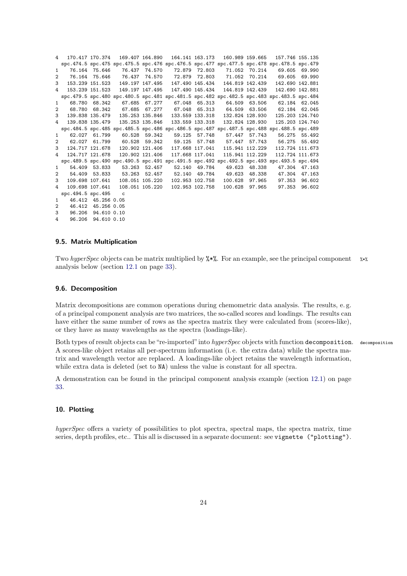| 4              |                   |                    | 170.417 170.374 169.407 164.890 |                                                   | 164.141 163.173  160.989  159.665  157.746  155.135                                                 |                              |  |
|----------------|-------------------|--------------------|---------------------------------|---------------------------------------------------|-----------------------------------------------------------------------------------------------------|------------------------------|--|
|                |                   |                    |                                 |                                                   | spc.474.5 spc.475 spc.475.5 spc.476 spc.476.5 spc.477 spc.477.5 spc.478 spc.478.5 spc.479           |                              |  |
| $\mathbf{1}$   |                   |                    |                                 |                                                   | 76.164 75.646 76.437 74.570 72.879 72.803 71.052 70.214 69.605 69.990                               |                              |  |
| 2              |                   |                    |                                 |                                                   | 76.164 75.646 76.437 74.570 72.879 72.803 71.052 70.214 69.605 69.990                               |                              |  |
| 3              |                   |                    |                                 |                                                   | 153.239 151.523 149.197 147.495 147.490 145.434 144.819 142.439 142.690 142.881                     |                              |  |
| 4              |                   |                    |                                 |                                                   | 153.239 151.523 149.197 147.495 147.490 145.434 144.819 142.439 142.690 142.881                     |                              |  |
|                |                   |                    |                                 |                                                   | spc. 479.5 spc. 480 spc. 480.5 spc. 481 spc. 481.5 spc. 482 spc. 482.5 spc. 483 spc. 483.5 spc. 484 |                              |  |
| 1              |                   | 68.780 68.342      |                                 |                                                   | 67.685 67.277 67.048 65.313 64.509 63.506 62.184 62.045                                             |                              |  |
| 2              |                   |                    |                                 |                                                   | 68.780 68.342 67.685 67.277 67.048 65.313 64.509 63.506 62.184 62.045                               |                              |  |
| 3              |                   |                    |                                 |                                                   | 139.838 135.479 135.253 135.846 133.559 133.318 132.824 128.930 125.203 124.740                     |                              |  |
| $\overline{4}$ |                   |                    |                                 |                                                   | 139.838 135.479 135.253 135.846 133.559 133.318 132.824 128.930 125.203 124.740                     |                              |  |
|                |                   |                    |                                 |                                                   | spc.484.5 spc.485 spc.485.5 spc.486 spc.486.5 spc.487 spc.487.5 spc.488 spc.488.5 spc.489           |                              |  |
| $1 \quad$      |                   |                    |                                 |                                                   | 62.027 61.799 60.528 59.342 59.125 57.748 57.447 57.743 56.275 55.492                               |                              |  |
| $\overline{2}$ |                   |                    |                                 |                                                   | 62.027 61.799   60.528   59.342   59.125   57.748   57.447   57.743   56.275   55.492               |                              |  |
| 3              |                   |                    |                                 |                                                   | 124.717 121.678 120.902 121.406 117.668 117.041 115.941 112.229 112.724 111.673                     |                              |  |
| $\overline{a}$ |                   |                    |                                 |                                                   | 124.717 121.678  120.902 121.406  117.668  117.041  115.941  112.229                                | 112.724 111.673              |  |
|                |                   |                    |                                 |                                                   | spc.489.5 spc.490 spc.490.5 spc.491 spc.491.5 spc.492 spc.492.5 spc.493 spc.493.5 spc.494           |                              |  |
| $\mathbf{1}$   |                   |                    | 54.409 53.833 53.263 52.457     |                                                   | 52.140 49.784 49.623 48.338 47.304 47.163                                                           |                              |  |
| 2              |                   |                    |                                 |                                                   | 54.409 53.833 53.263 52.457 52.140 49.784 49.623 48.338 47.304 47.163                               |                              |  |
| 3              |                   |                    |                                 | 109.698 107.641  108.051 105.220  102.953 102.758 |                                                                                                     | 100.628 97.965 97.353 96.602 |  |
| 4              |                   |                    |                                 |                                                   | 109.698 107.641  108.051 105.220  102.953 102.758  100.628  97.965  97.353  96.602                  |                              |  |
|                | spc.494.5 spc.495 |                    | $\overline{c}$                  |                                                   |                                                                                                     |                              |  |
| $\mathbf{1}$   |                   | 46.412 45.256 0.05 |                                 |                                                   |                                                                                                     |                              |  |
| $\overline{2}$ |                   | 46.412 45.256 0.05 |                                 |                                                   |                                                                                                     |                              |  |
| 3              |                   | 96.206 94.610 0.10 |                                 |                                                   |                                                                                                     |                              |  |
| 4              |                   | 96.206 94.610 0.10 |                                 |                                                   |                                                                                                     |                              |  |

# <span id="page-23-0"></span>9.5. Matrix Multiplication

Two *hyperSpec* objects can be matrix multiplied by  $\frac{1}{2}$ . For an example, see the principal component  $\frac{1}{2}$ . analysis below (section [12.1](#page-32-3) on page [33\)](#page-32-3).

# <span id="page-23-1"></span>9.6. Decomposition

Matrix decompositions are common operations during chemometric data analysis. The results, e. g. of a principal component analysis are two matrices, the so-called scores and loadings. The results can have either the same number of rows as the spectra matrix they were calculated from (scores-like), or they have as many wavelengths as the spectra (loadings-like).

Both types of result objects can be"re-imported"into *hyperSpec* objects with function decomposition. decomposition A scores-like object retains all per-spectrum information (i. e. the extra data) while the spectra matrix and wavelength vector are replaced. A loadings-like object retains the wavelength information, while extra data is deleted (set to NA) unless the value is constant for all spectra.

A demonstration can be found in the principal component analysis example (section [12.1\)](#page-32-3) on page [33.](#page-32-3)

# <span id="page-23-2"></span>10. Plotting

*hyperSpec* offers a variety of possibilities to plot spectra, spectral maps, the spectra matrix, time series, depth profiles, etc.. This all is discussed in a separate document: see vignette ("plotting").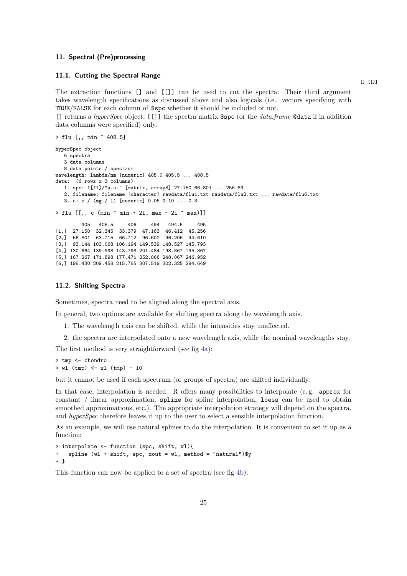# <span id="page-24-0"></span>11. Spectral (Pre)processing

#### <span id="page-24-1"></span>11.1. Cutting the Spectral Range

The extraction functions [] and [[]] can be used to cut the spectra: Their third argument takes wavelength specifications as discussed above and also logicals (i.e. vectors specifying with TRUE/FALSE for each column of \$spc whether it should be included or not.

[] returns a *hyperSpec* object, [[]] the spectra matrix \$spc (or the *data.frame* @data if in addition data columns were specified) only.

```
> flu [,, min ~ 408.5]
hyperSpec object
   6 spectra
   3 data columns
   8 data points / spectrum
wavelength: lambda/nm [numeric] 405.0 405.5 ... 408.5
data: (6 rows x 3 columns)
   1. spc: I[fl]/"a.u." [matrix, array8] 27.150 66.801 ... 256.89
   2. filename: filename [character] rawdata/flu1.txt rawdata/flu2.txt ... rawdata/flu6.txt
   3. c: c / (mg / l) [numeric] 0.05 0.10 ... 0.3
> flu [[,, c (min \tilde{m} min + 2i, max - 2i \tilde{m} max)]]
         405 405.5 406 494 494.5 495
[1,] 27.150 32.345 33.379 47.163 46.412 45.256
[2,] 66.801 63.715 66.712 96.602 96.206 94.610
[3,] 93.144 103.068 106.194 149.539 148.527 145.793
[4,] 130.664 139.998 143.798 201.484 198.867 195.867
[5,] 167.267 171.898 177.471 252.066 248.067 246.952
[6,] 198.430 209.458 215.785 307.519 302.325 294.649
```
#### <span id="page-24-2"></span>11.2. Shifting Spectra

Sometimes, spectra need to be aligned along the spectral axis.

In general, two options are available for shifting spectra along the wavelength axis.

- 1. The wavelength axis can be shifted, while the intensities stay unaffected.
- 2. the spectra are interpolated onto a new wavelength axis, while the nominal wavelengths stay.

The first method is very straightforward (see fig [4a\)](#page-25-1):

> tmp <- chondro  $>$  wl (tmp)  $\leftarrow$  wl (tmp)  $-10$ 

but it cannot be used if each spectrum (or groups of spectra) are shifted individually.

In that case, interpolation is needed. R offers many possibilities to interpolate (e.g. approx for constant / linear approximation, spline for spline interpolation, loess can be used to obtain smoothed approximations, etc.). The appropriate interpolation strategy will depend on the spectra, and *hyperSpec* therefore leaves it up to the user to select a sensible interpolation function.

As an example, we will use natural splines to do the interpolation. It is convenient to set it up as a function:

```
> interpolate <- function (spc, shift, wl){
    spline (wl + shift, spc, xout = wl, method = "natural")$y
+ }
```
This function can now be applied to a set of spectra (see fig [4b\)](#page-25-2):

 $[$   $[$   $[$   $[$   $[$   $]$   $]$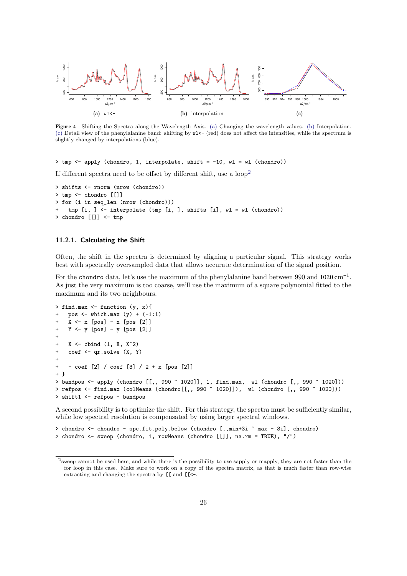<span id="page-25-1"></span>

<span id="page-25-3"></span><span id="page-25-2"></span>Figure 4 Shifting the Spectra along the Wavelength Axis. [\(a\)](#page-25-1) Changing the wavelength values. [\(b\)](#page-25-2) Interpolation. [\(c\)](#page-25-3) Detail view of the phenylalanine band: shifting by  $w1<-(red)$  does not affect the intensities, while the spectrum is slightly changed by interpolations (blue).

> tmp <- apply (chondro, 1, interpolate, shift = -10, wl = wl (chondro))

If different spectra need to be offset by different shift, use a  $loop<sup>2</sup>$  $loop<sup>2</sup>$  $loop<sup>2</sup>$ 

```
> shifts <- rnorm (nrow (chondro))
> tmp <- chondro [[]]
> for (i in seq_len (nrow (chondro)))
    tmp [i, ] \leftarrow interpolate (tmp [i, ], shifts [i], w1 = w1 (chondro))> chondro [[]] <- tmp
```
#### <span id="page-25-0"></span>11.2.1. Calculating the Shift

Often, the shift in the spectra is determined by aligning a particular signal. This strategy works best with spectrally oversampled data that allows accurate determination of the signal position.

For the chondro data, let's use the maximum of the phenylalanine band between  $990$  and  $1020 \text{ cm}^{-1}$ . As just the very maximum is too coarse, we'll use the maximum of a square polynomial fitted to the maximum and its two neighbours.

```
> find.max <- function (y, x){
    pos \le which.max (y) + (-1:1)X \leftarrow x [pos] - x [pos [2]]
    Y \leftarrow y [pos] - y [pos [2]]
+
    X \leftarrow cbind (1, X, X<sup>\sim</sup>2)
    \cot <- \arcsin x (X, Y)
+
    - coef [2] / coef [3] / 2 + x [pos [2]]
+ }
> bandpos <- apply (chondro [[,, 990 ~ 1020]], 1, find.max, wl (chondro [,, 990 ~ 1020]))
> refpos <- find.max (colMeans (chondro[[,, 990 ~ 1020]]), wl (chondro [,, 990 ~ 1020]))
> shift1 <- refpos - bandpos
```
A second possibility is to optimize the shift. For this strategy, the spectra must be sufficiently similar, while low spectral resolution is compensated by using larger spectral windows.

```
> chondro <- chondro - spc.fit.poly.below (chondro [,,min+3i ~ max - 3i], chondro)
> chondro <- sweep (chondro, 1, rowMeans (chondro [[]], na.rm = TRUE), "/")
```
<span id="page-25-4"></span><sup>2</sup>sweep cannot be used here, and while there is the possibility to use sapply or mapply, they are not faster than the for loop in this case. Make sure to work on a copy of the spectra matrix, as that is much faster than row-wise extracting and changing the spectra by [[ and [[<-.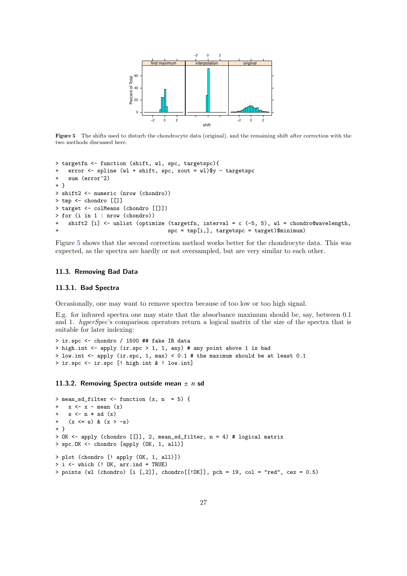<span id="page-26-3"></span>

Figure 5 The shifts used to disturb the chondrocyte data (original), and the remaining shift after correction with the two methods discussed here.

```
> targetfn <- function (shift, wl, spc, targetspc){
    error <- spline (wl + shift, spc, xout = wl)$y - targetspc
+ sum (error^2)
+ }
> shift2 <- numeric (nrow (chondro))
> tmp <- chondro [[]]
> target <- colMeans (chondro [[]])
> for (i in 1 : nrow (chondro))
    shift2 [i] \leftarrow unlist (optimize (targetfn, interval = c (-5, 5), wl = chondro@wavelength,
                                    spc = tmp[i,], targetspc = target)$minimum)
```
Figure [5](#page-26-3) shows that the second correction method works better for the chondrocyte data. This was expected, as the spectra are hardly or not oversampled, but are very similar to each other.

#### <span id="page-26-0"></span>11.3. Removing Bad Data

#### <span id="page-26-1"></span>11.3.1. Bad Spectra

Occasionally, one may want to remove spectra because of too low or too high signal.

E.g. for infrared spectra one may state that the absorbance maximum should be, say, between 0.1 and 1. *hyperSpec*'s comparison operators return a logical matrix of the size of the spectra that is suitable for later indexing:

```
> ir.spc <- chondro / 1500 ## fake IR data
> high.int <- apply (ir.spc > 1, 1, any) # any point above 1 is bad
> low.int <- apply (ir.spc, 1, max) < 0.1 # the maximum should be at least 0.1
> ir.spc <- ir.spc [! high.int & ! low.int]
```
<span id="page-26-2"></span>11.3.2. Removing Spectra outside mean ± *n* sd

```
> mean_sd_filter <- function (x, n = 5) {
    x \leftarrow x - mean (x)+ s <- n * sd (x)+ (x \le s) \& (x > -s)+ }
> OK <- apply (chondro [[]], 2, mean_sd_filter, n = 4) # logical matrix
> spc.OK <- chondro [apply (OK, 1, all)]
> plot (chondro [! apply (OK, 1, all)])
> i \leq which (! OK, arr.ind = TRUE)
> points (wl (chondro) [i [,2]], chondro[[!OK]], pch = 19, col = "red", cex = 0.5)
```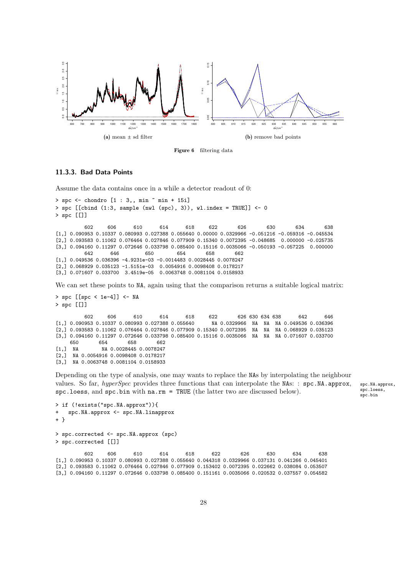

Figure 6 filtering data

#### <span id="page-27-0"></span>11.3.3. Bad Data Points

Assume the data contains once in a while a detector readout of 0:

```
> spc \le - chondro [1 : 3,, min \tilde{m} min + 15i]
> spc [[cbind (1:3, sample (nwl (spc), 3)), wl.index = TRUE]] <- 0
> spc [[]]
         602 606 610 614 618 622 626 630 634 638
[1,] 0.090953 0.10337 0.080993 0.027388 0.055640 0.00000 0.0329966 -0.051216 -0.059316 -0.045534
[2,] 0.093583 0.11062 0.076464 0.027846 0.077909 0.15340 0.0072395 -0.048685 0.000000 -0.025735
[3,] 0.094160 0.11297 0.072646 0.033798 0.085400 0.15116 0.0035066 -0.050193 -0.057225 0.000000<br>642 646 650 654 658 662
         642 646 650 654 658 662
[1,] 0.049536 0.036396 -4.9231e-03 -0.0014483 0.0028445 0.0078247
[2,] 0.068929 0.035123 -1.5151e-03 0.0054916 0.0098408 0.0178217
[3,] 0.071607 0.033700 3.4519e-05 0.0063748 0.0081104 0.0158933
We can set these points to NA, again using that the comparison returns a suitable logical matrix:
> spc [[spc < 1e-4]] <- NA
> spc [[]]
         602 606 610 614 618 622 626 630 634 638 642 646
[1,] 0.090953 0.10337 0.080993 0.027388 0.055640 NA 0.0329966 NA NA NA 0.049536 0.036396
[2,] 0.093583 0.11062 0.076464 0.027846 0.077909 0.15340 0.0072395 NA NA NA 0.068929 0.035123
[3,] 0.094160 0.11297 0.072646 0.033798 0.085400 0.15116 0.0035066 NA NA NA 0.071607 0.033700<br>650 654 658 662
    650 654 658 662
[1,] NA NA 0.0028445 0.0078247
[2,] NA 0.0054916 0.0098408 0.0178217
```
[3,] NA 0.0063748 0.0081104 0.0158933

Depending on the type of analysis, one may wants to replace the NAs by interpolating the neighbour values. So far, *hyperSpec* provides three functions that can interpolate the NAs: : spc.NA.approx, spc.NA.approx, spc.loess, and spc.bin with  $na.rm$  = TRUE (the latter two are discussed below).

```
> if (!exists("spc.NA.approx")){
   spc.NA.approx <- spc.NA.linapprox
+ }
> spc.corrected <- spc.NA.approx (spc)
> spc.corrected [[]]
         602 606 610 614 618 622 626 630 634 638
[1,] 0.090953 0.10337 0.080993 0.027388 0.055640 0.044318 0.0329966 0.037131 0.041266 0.045401
[2,] 0.093583 0.11062 0.076464 0.027846 0.077909 0.153402 0.0072395 0.022662 0.038084 0.053507
[3,] 0.094160 0.11297 0.072646 0.033798 0.085400 0.151161 0.0035066 0.020532 0.037557 0.054582
```
spc.loess,<br>spc.bin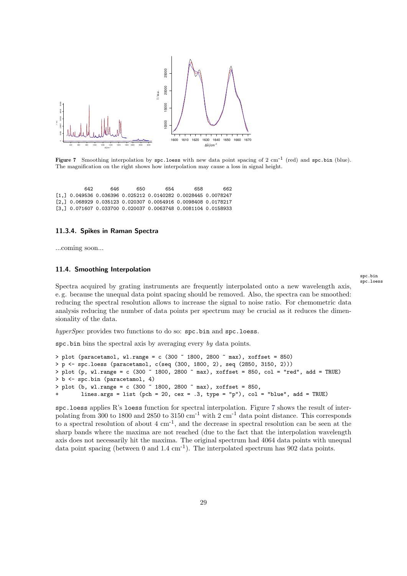<span id="page-28-2"></span>

Figure 7 Smoothing interpolation by  $spc.\n$  loess with new data point spacing of 2 cm<sup>-1</sup> (red) and  $spc.\n$ bin (blue). The magnification on the right shows how interpolation may cause a loss in signal height.

642 646 650 654 658 662 [1,] 0.049536 0.036396 0.025212 0.0140282 0.0028445 0.0078247 [2,] 0.068929 0.035123 0.020307 0.0054916 0.0098408 0.0178217 [3,] 0.071607 0.033700 0.020037 0.0063748 0.0081104 0.0158933

#### <span id="page-28-0"></span>11.3.4. Spikes in Raman Spectra

...coming soon...

#### <span id="page-28-1"></span>11.4. Smoothing Interpolation

Spectra acquired by grating instruments are frequently interpolated onto a new wavelength axis, e. g. because the unequal data point spacing should be removed. Also, the spectra can be smoothed: reducing the spectral resolution allows to increase the signal to noise ratio. For chemometric data analysis reducing the number of data points per spectrum may be crucial as it reduces the dimensionality of the data.

*hyperSpec* provides two functions to do so: spc.bin and spc.loess.

spc.bin bins the spectral axis by averaging every *by* data points.

```
> plot (paracetamol, wl.range = c (300 \degree 1800, 2800 \degree max), xoffset = 850)
> p <- spc.loess (paracetamol, c(seq (300, 1800, 2), seq (2850, 3150, 2)))
> plot (p, wl.range = c (300 ~ 1800, 2800 ~ max), xoffset = 850, col = "red", add = TRUE)
> b <- spc.bin (paracetamol, 4)
> plot (b, wl.range = c (300 \degree 1800, 2800 \degree max), xoffset = 850,
        lines.args = list (pch = 20, cex = .3, type = "p"), col = "blue", add = TRUE)
```
spc.loess applies R's loess function for spectral interpolation. Figure [7](#page-28-2) shows the result of interpolating from 300 to 1800 and 2850 to 3150  $\text{cm}^{-1}$  with 2  $\text{cm}^{-1}$  data point distance. This corresponds to a spectral resolution of about  $4 \text{ cm}^{-1}$ , and the decrease in spectral resolution can be seen at the sharp bands where the maxima are not reached (due to the fact that the interpolation wavelength axis does not necessarily hit the maxima. The original spectrum had 4064 data points with unequal data point spacing (between 0 and  $1.4 \text{ cm}^{-1}$ ). The interpolated spectrum has 902 data points.

spc.bin spc.loess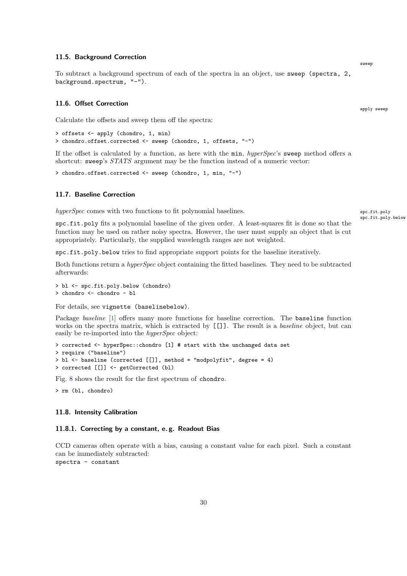#### <span id="page-29-0"></span>11.5. Background Correction

To subtract a background spectrum of each of the spectra in an object, use sweep (spectra, 2, background.spectrum, "-").

#### <span id="page-29-1"></span>11.6. Offset Correction

Calculate the offsets and sweep them off the spectra:

```
> offsets <- apply (chondro, 1, min)
> chondro.offset.corrected <- sweep (chondro, 1, offsets, "-")
```
If the offset is calculated by a function, as here with the min, *hyperSpec*'s sweep method offers a shortcut: sweep's *STATS* argument may be the function instead of a numeric vector:

> chondro.offset.corrected <- sweep (chondro, 1, min, "-")

# <span id="page-29-2"></span>11.7. Baseline Correction

*hyperSpec* comes with two functions to fit polynomial baselines. spc.fit.polynomial spc.fit.polynomial baselines.

spc.fit.poly.below

spc.fit.poly fits a polynomial baseline of the given order. A least-squares fit is done so that the function may be used on rather noisy spectra. However, the user must supply an object that is cut appropriately. Particularly, the supplied wavelength ranges are not weighted.

spc.fit.poly.below tries to find appropriate support points for the baseline iteratively.

Both functions return a *hyperSpec* object containing the fitted baselines. They need to be subtracted afterwards:

```
> bl <- spc.fit.poly.below (chondro)
> chondro <- chondro - bl
```
For details, see vignette (baselinebelow).

Package *baseline* [\[1\]](#page-40-1) offers many more functions for baseline correction. The **baseline** function works on the spectra matrix, which is extracted by [[]]. The result is a *baseline* object, but can easily be re-imported into the *hyperSpec* object:

```
> corrected <- hyperSpec::chondro [1] # start with the unchanged data set
> require ("baseline")
> bl <- baseline (corrected [[]], method = "modpolyfit", degree = 4)
> corrected [[]] <- getCorrected (bl)
```
Fig. [8](#page-30-3) shows the result for the first spectrum of chondro.

> rm (bl, chondro)

#### <span id="page-29-3"></span>11.8. Intensity Calibration

#### <span id="page-29-4"></span>11.8.1. Correcting by a constant, e. g. Readout Bias

CCD cameras often operate with a bias, causing a constant value for each pixel. Such a constant can be immediately subtracted: spectra - constant

apply sweep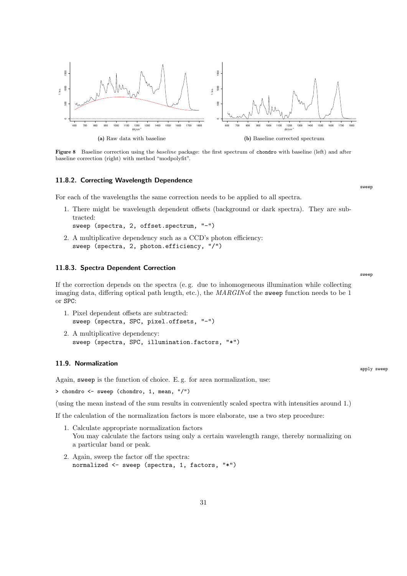<span id="page-30-3"></span>

Figure 8 Baseline correction using the baseline package: the first spectrum of chondro with baseline (left) and after baseline correction (right) with method "modpolyfit".

#### <span id="page-30-0"></span>11.8.2. Correcting Wavelength Dependence

For each of the wavelengths the same correction needs to be applied to all spectra.

- 1. There might be wavelength dependent offsets (background or dark spectra). They are subtracted: sweep (spectra, 2, offset.spectrum, "-")
- 2. A multiplicative dependency such as a CCD's photon efficiency: sweep (spectra, 2, photon.efficiency, "/")

#### <span id="page-30-1"></span>11.8.3. Spectra Dependent Correction

If the correction depends on the spectra (e. g. due to inhomogeneous illumination while collecting imaging data, differing optical path length, etc.), the *MARGIN* of the sweep function needs to be 1 or SPC:

- 1. Pixel dependent offsets are subtracted: sweep (spectra, SPC, pixel.offsets, "-")
- 2. A multiplicative dependency: sweep (spectra, SPC, illumination.factors, "\*")

#### <span id="page-30-2"></span>11.9. Normalization

Again, sweep is the function of choice. E. g. for area normalization, use:

> chondro <- sweep (chondro, 1, mean, "/")

(using the mean instead of the sum results in conveniently scaled spectra with intensities around 1.)

If the calculation of the normalization factors is more elaborate, use a two step procedure:

- 1. Calculate appropriate normalization factors You may calculate the factors using only a certain wavelength range, thereby normalizing on a particular band or peak.
- 2. Again, sweep the factor off the spectra: normalized <- sweep (spectra, 1, factors, "\*")

apply sweep

sweep

sweep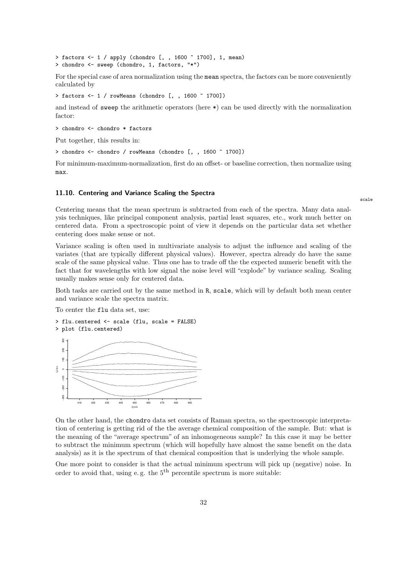```
> factors <-1 / apply (chondro [, , 1600 -1700], 1, mean)
> chondro <- sweep (chondro, 1, factors, "*")
```
For the special case of area normalization using the mean spectra, the factors can be more conveniently calculated by

> factors <- 1 / rowMeans (chondro [, , 1600 ~ 1700])

and instead of sweep the arithmetic operators (here \*) can be used directly with the normalization factor:

```
> chondro <- chondro * factors
```
Put together, this results in:

> chondro <- chondro / rowMeans (chondro [, , 1600 ~ 1700])

For minimum-maximum-normalization, first do an offset- or baseline correction, then normalize using max.

#### <span id="page-31-0"></span>11.10. Centering and Variance Scaling the Spectra

Centering means that the mean spectrum is subtracted from each of the spectra. Many data analysis techniques, like principal component analysis, partial least squares, etc., work much better on centered data. From a spectroscopic point of view it depends on the particular data set whether centering does make sense or not.

Variance scaling is often used in multivariate analysis to adjust the influence and scaling of the variates (that are typically different physical values). However, spectra already do have the same scale of the same physical value. Thus one has to trade off the the expected numeric benefit with the fact that for wavelengths with low signal the noise level will "explode" by variance scaling. Scaling usually makes sense only for centered data.

Both tasks are carried out by the same method in R, scale, which will by default both mean center and variance scale the spectra matrix.

To center the flu data set, use:



On the other hand, the chondro data set consists of Raman spectra, so the spectroscopic interpretation of centering is getting rid of the the average chemical composition of the sample. But: what is the meaning of the "average spectrum" of an inhomogeneous sample? In this case it may be better to subtract the minimum spectrum (which will hopefully have almost the same benefit on the data analysis) as it is the spectrum of that chemical composition that is underlying the whole sample.

One more point to consider is that the actual minimum spectrum will pick up (negative) noise. In order to avoid that, using e.g. the  $5<sup>th</sup>$  percentile spectrum is more suitable:

scale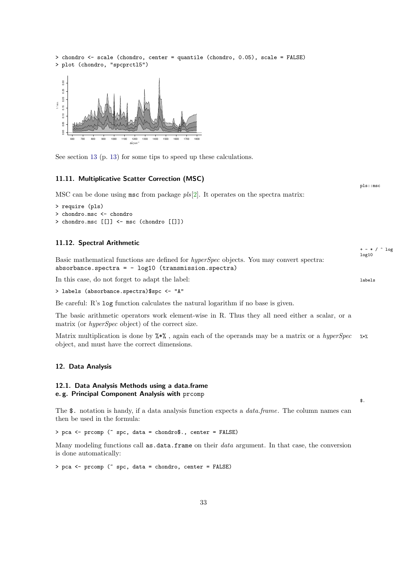<span id="page-32-0"></span>

# <span id="page-32-3"></span><span id="page-32-2"></span><span id="page-32-1"></span>12.1. Data Analysis Methods using a data.frame e. g. Principal Component Analysis with prcomp

The \$. notation is handy, if a data analysis function expects a *data.frame*. The column names can then be used in the formula:

\$.

> pca <- prcomp (~ spc, data = chondro\$., center = FALSE)

Many modeling functions call as.data.frame on their *data* argument. In that case, the conversion is done automatically:

> pca <- prcomp (~ spc, data = chondro, center = FALSE)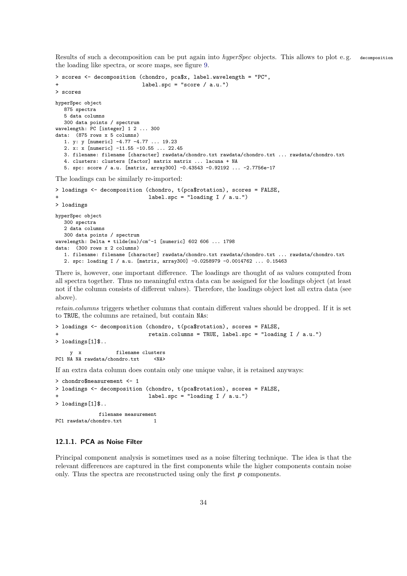Results of such a decomposition can be put again into *hyperSpec* objects. This allows to plot e. g. decomposition the loading like spectra, or score maps, see figure [9.](#page-34-1)

```
> scores <- decomposition (chondro, pca$x, label.wavelength = "PC",
                             label.spc = "score / a.u."> scores
hyperSpec object
   875 spectra
   5 data columns
   300 data points / spectrum
wavelength: PC [integer] 1 2 ... 300
data: (875 rows x 5 columns)
   1. y: y [numeric] -4.77 -4.77 ... 19.23
   2. x: x [numeric] -11.55 -10.55 ... 22.45
   3. filename: filename [character] rawdata/chondro.txt rawdata/chondro.txt ... rawdata/chondro.txt
   4. clusters: clusters [factor] matrix matrix ... lacuna + NA
   5. spc: score / a.u. [matrix, array300] -0.43543 -0.92192 ... -2.7756e-17
The loadings can be similarly re-imported:
> loadings <- decomposition (chondro, t(pca$rotation), scores = FALSE,
                               label.spc = "loading I / a.u.")
> loadings
```

```
hyperSpec object
   300 spectra
   2 data columns
   300 data points / spectrum
wavelength: Delta * tilde(nu)/cm^-1 [numeric] 602 606 ... 1798
data: (300 rows x 2 columns)
   1. filename: filename [character] rawdata/chondro.txt rawdata/chondro.txt ... rawdata/chondro.txt
   2. spc: loading I / a.u. [matrix, array300] -0.0258979 -0.0014762 ... 0.15463
```
There is, however, one important difference. The loadings are thought of as values computed from all spectra together. Thus no meaningful extra data can be assigned for the loadings object (at least not if the column consists of different values). Therefore, the loadings object lost all extra data (see above).

*retain.columns* triggers whether columns that contain different values should be dropped. If it is set to TRUE, the columns are retained, but contain NAs:

```
> loadings <- decomposition (chondro, t(pca$rotation), scores = FALSE,
                             retain.columns = TRUE, label.spc = "loading I / a.u."> loadings[1]$..
                   filename clusters
PC1 NA NA rawdata/chondro.txt <NA>
```
If an extra data column does contain only one unique value, it is retained anyways:

```
> chondro$measurement <- 1
> loadings <- decomposition (chondro, t(pca$rotation), scores = FALSE,
                             label.spc = "loading I / a.u.")
> loadings[1]$..
             filename measurement
PC1 rawdata/chondro.txt 1
```
#### <span id="page-33-0"></span>12.1.1. PCA as Noise Filter

Principal component analysis is sometimes used as a noise filtering technique. The idea is that the relevant differences are captured in the first components while the higher components contain noise only. Thus the spectra are reconstructed using only the first *p* components.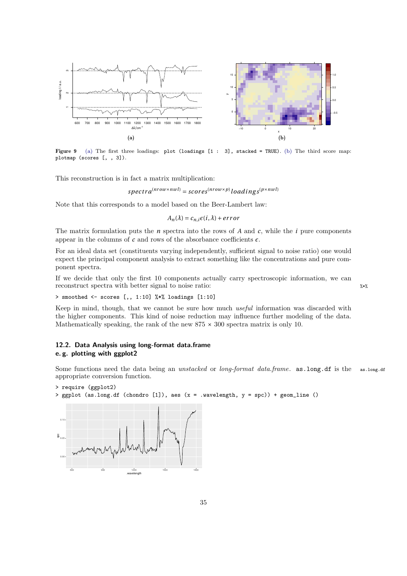<span id="page-34-2"></span><span id="page-34-1"></span>

Figure 9 [\(a\)](#page-34-2) The first three loadings: plot (loadings [1 : 3], stacked = TRUE). [\(b\)](#page-34-3) The third score map: plotmap (scores [, , 3]).

This reconstruction is in fact a matrix multiplication:

*spectr a*(*nr ow*×*nwl*) = *scor es*(*nr ow*×*p*) *loadi ng s*(*p*×*nwl*)

Note that this corresponds to a model based on the Beer-Lambert law:

<span id="page-34-3"></span> $A_n(\lambda) = c_{n,i} \epsilon(i,\lambda) + error$ 

The matrix formulation puts the *n* spectra into the rows of *A* and *c*, while the *i* pure components appear in the columns of  $c$  and rows of the absorbance coefficients  $\epsilon$ .

For an ideal data set (constituents varying independently, sufficient signal to noise ratio) one would expect the principal component analysis to extract something like the concentrations and pure component spectra.

If we decide that only the first 10 components actually carry spectroscopic information, we can reconstruct spectra with better signal to noise ratio:  $\frac{x \cdot x}{x}$ 

> smoothed <- scores  $[,$ , 1:10]  $\frac{1}{2}$  loadings  $[1:10]$ 

Keep in mind, though, that we cannot be sure how much *useful* information was discarded with the higher components. This kind of noise reduction may influence further modeling of the data. Mathematically speaking, the rank of the new  $875 \times 300$  spectra matrix is only 10.

# <span id="page-34-0"></span>12.2. Data Analysis using long-format data.frame e. g. plotting with ggplot2

Some functions need the data being an *unstacked* or *long-format data.frame*. as.long.df is the as.long.df appropriate conversion function.

```
> require (ggplot2)
> ggplot (as.long.df (chondro [1]), aes (x = .wavelength, y = spc)) + geom_line ()
```


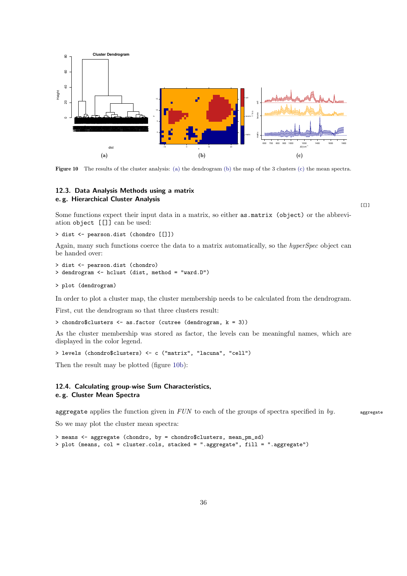<span id="page-35-2"></span>

<span id="page-35-3"></span>Figure 10 The results of the cluster analysis: [\(a\)](#page-35-2) the dendrogram [\(b\)](#page-35-3) the map of the 3 clusters [\(c\)](#page-35-4) the mean spectra.

# <span id="page-35-0"></span>12.3. Data Analysis Methods using a matrix e. g. Hierarchical Cluster Analysis

<span id="page-35-4"></span> $[[]]$ 

Some functions expect their input data in a matrix, so either as.matrix (object) or the abbreviation object [[]] can be used:

```
> dist <- pearson.dist (chondro [[]])
```
Again, many such functions coerce the data to a matrix automatically, so the *hyperSpec* object can be handed over:

```
> dist <- pearson.dist (chondro)
> dendrogram <- hclust (dist, method = "ward.D")
```

```
> plot (dendrogram)
```
In order to plot a cluster map, the cluster membership needs to be calculated from the dendrogram.

First, cut the dendrogram so that three clusters result:

> chondro\$clusters <- as.factor (cutree (dendrogram, k = 3))

As the cluster membership was stored as factor, the levels can be meaningful names, which are displayed in the color legend.

```
> levels (chondro$clusters) <- c ("matrix", "lacuna", "cell")
```
Then the result may be plotted (figure [10b\)](#page-35-3):

# <span id="page-35-1"></span>12.4. Calculating group-wise Sum Characteristics, e. g. Cluster Mean Spectra

aggregate applies the function given in *FUN* to each of the groups of spectra specified in *by*. aggregate

So we may plot the cluster mean spectra:

```
> means <- aggregate (chondro, by = chondro$clusters, mean_pm_sd)
> plot (means, col = cluster.cols, stacked = ".aggregate", fill = ".aggregate")
```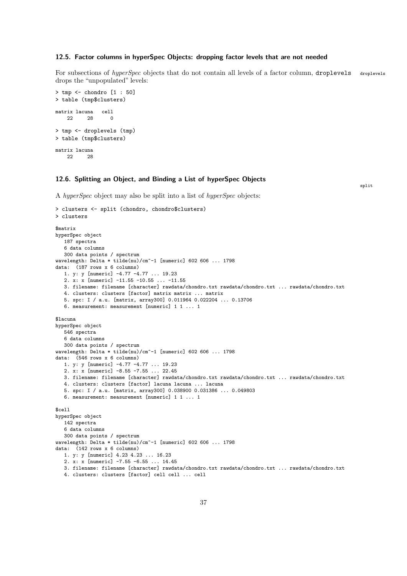# <span id="page-36-0"></span>12.5. Factor columns in hyperSpec Objects: dropping factor levels that are not needed

For subsections of *hyperSpec* objects that do not contain all levels of a factor column, droplevels droplevels drops the "unpopulated" levels:

```
> tmp <- chondro [1:50]> table (tmp$clusters)
matrix lacuna cell
   22 28 0
> tmp <- droplevels (tmp)
> table (tmp$clusters)
matrix lacuna
   ית הפ
```
# <span id="page-36-1"></span>12.6. Splitting an Object, and Binding a List of hyperSpec Objects

split

A *hyperSpec* object may also be split into a list of *hyperSpec* objects:

```
> clusters <- split (chondro, chondro$clusters)
> clusters
$matrix
hyperSpec object
   187 spectra
   6 data columns
   300 data points / spectrum
wavelength: Delta * tilde(nu)/cm^-1 [numeric] 602 606 ... 1798
data: (187 rows x 6 columns)
   1. y: y [numeric] -4.77 -4.77 ... 19.23
   2. x: x [numeric] -11.55 -10.55 ... -11.55
   3. filename: filename [character] rawdata/chondro.txt rawdata/chondro.txt ... rawdata/chondro.txt
   4. clusters: clusters [factor] matrix matrix ... matrix
   5. spc: I / a.u. [matrix, array300] 0.011964 0.022204 ... 0.13706
   6. measurement: measurement [numeric] 1 1 ... 1
$lacuna
hyperSpec object
   546 spectra
   6 data columns
   300 data points / spectrum
wavelength: Delta * tilde(nu)/cm<sup>\sim-1 [numeric] 602 606 ... 1798</sup>
data: (546 rows x 6 columns)
   1. y: y [numeric] -4.77 -4.77 ... 19.23
   2. x: x [numeric] -8.55 -7.55 ... 22.45
   3. filename: filename [character] rawdata/chondro.txt rawdata/chondro.txt ... rawdata/chondro.txt
   4. clusters: clusters [factor] lacuna lacuna ... lacuna
   5. spc: I / a.u. [matrix, array300] 0.038900 0.031386 ... 0.049803
   6. measurement: measurement [numeric] 1 1 ... 1
$cell
hyperSpec object
   142 spectra
   6 data columns
   300 data points / spectrum
wavelength: Delta * tilde(nu)/cm^-1 [numeric] 602 606 ... 1798
data: (142 rows x 6 columns)
   1. y: y [numeric] 4.23 4.23 ... 16.23
   2. x: x [numeric] -7.55 -6.55 ... 14.45
   3. filename: filename [character] rawdata/chondro.txt rawdata/chondro.txt ... rawdata/chondro.txt
   4. clusters: clusters [factor] cell cell ... cell
```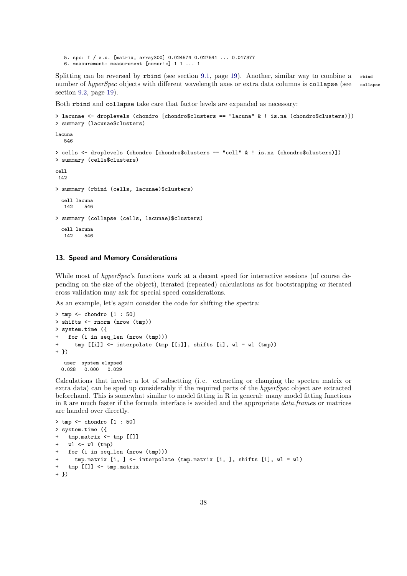5. spc: I / a.u. [matrix, array300] 0.024574 0.027541 ... 0.017377 6. measurement: measurement [numeric] 1 1 ... 1

Splitting can be reversed by rbind (see section [9.1,](#page-18-1) page [19\)](#page-18-1). Another, similar way to combine a rbind number of *hyperSpec* objects with different wavelength axes or extra data columns is collapse (see collapse section [9.2,](#page-18-2) page [19\)](#page-18-2).

Both rbind and collapse take care that factor levels are expanded as necessary:

```
> lacunae <- droplevels (chondro [chondro$clusters == "lacuna" & ! is.na (chondro$clusters)])
> summary (lacunae$clusters)
lacuna
   546
> cells <- droplevels (chondro [chondro$clusters == "cell" & ! is.na (chondro$clusters)])
> summary (cells$clusters)
cell
 142
> summary (rbind (cells, lacunae)$clusters)
  cell lacuna
   142 546
> summary (collapse (cells, lacunae)$clusters)
  cell lacuna<br>142 546
   142
```
# <span id="page-37-0"></span>13. Speed and Memory Considerations

While most of *hyperSpec*'s functions work at a decent speed for interactive sessions (of course depending on the size of the object), iterated (repeated) calculations as for bootstrapping or iterated cross validation may ask for special speed considerations.

As an example, let's again consider the code for shifting the spectra:

```
> tmp <- chondro [1 : 50]
> shifts <- rnorm (nrow (tmp))
> system.time ({
+ for (i in seq_len (nrow (tmp)))
      tmp [i]] \leftarrow interpolate (tmp [i]], shifts [i], w1 = w1 (tmp))+ })
  user system elapsed
 0.028 0.000 0.029
```
Calculations that involve a lot of subsetting (i.e. extracting or changing the spectra matrix or extra data) can be sped up considerably if the required parts of the *hyperSpec* object are extracted beforehand. This is somewhat similar to model fitting in R in general: many model fitting functions in R are much faster if the formula interface is avoided and the appropriate *data.frame*s or matrices are handed over directly.

```
> tmp <- chondro [1 : 50]
> system.time ({
    tmp.matrix \leftarrow tmp [[]]wl \leftarrow w1 (tmp)
    for (i in seq_len (nrow (tmp)))
      tmp.matrix [i, ] <- interpolate (tmp.matrix [i, ], shifts [i], wl = wl)
   tmp [[]] < -tmp_matrix+ })
```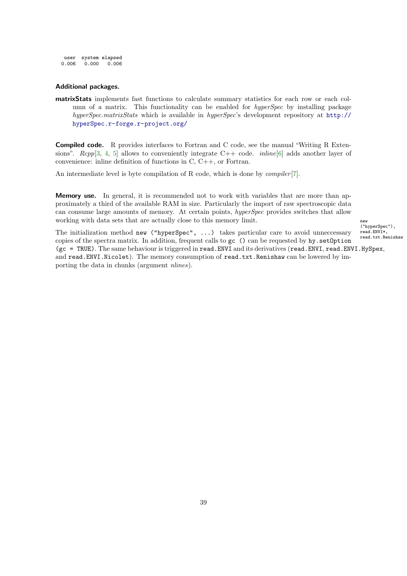<span id="page-38-0"></span>user system elapsed<br> $0.006$   $0.000$   $0.006$  $0.000 \quad 0.006$ 

# Additional packages.

matrixStats implements fast functions to calculate summary statistics for each row or each column of a matrix. This functionality can be enabled for *hyperSpec* by installing package *hyperSpec.matrixStats* which is available in *hyperSpec*'s development repository at [http://](http://hyperSpec.r-forge.r-project.org/) [hyperSpec.r-forge.r-project.org/](http://hyperSpec.r-forge.r-project.org/)

Compiled code. R provides interfaces to Fortran and C code, see the manual "Writing R Extensions". *Rcpp*[\[3,](#page-40-3) [4,](#page-40-4) [5\]](#page-40-5) allows to conveniently integrate C++ code. *inline*[\[6\]](#page-40-6) adds another layer of convenience: inline definition of functions in C, C++, or Fortran.

An intermediate level is byte compilation of R code, which is done by *compiler* [\[7\]](#page-40-7).

Memory use. In general, it is recommended not to work with variables that are more than approximately a third of the available RAM in size. Particularly the import of raw spectroscopic data can consume large amounts of memory. At certain points, *hyperSpec* provides switches that allow working with data sets that are actually close to this memory limit.  $_{new}$ 

("hyperSpec"), read.ENVI\*, read.txt.Renishaw

The initialization method new ("hyperSpec", ...) takes particular care to avoid unneccessary copies of the spectra matrix. In addition, frequent calls to gc () can be requested by hy.setOption (gc = TRUE). The same behaviour is triggered in read.ENVI and its derivatives (read.ENVI, read.ENVI.HySpex, and read.ENVI.Nicolet). The memory consumption of read.txt.Renishaw can be lowered by importing the data in chunks (argument *nlines*).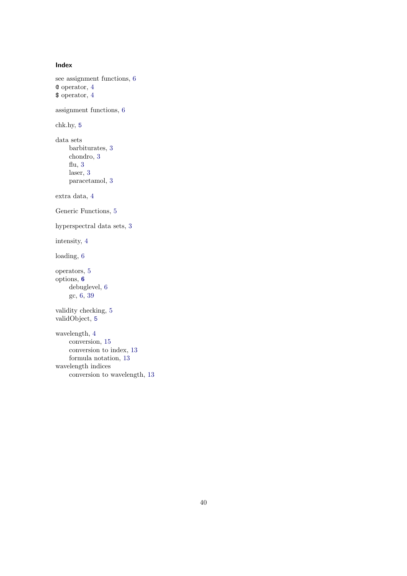```
Index
see assignment functions, 6
@ operator, 4
$ operator, 4
assignment functions, 6
chk.hy, 5
data sets
    barbiturates, 3
    chondro, 3
    flu, 3
    laser, 3
    paracetamol, 3
extra data, 4
Generic Functions, 5
hyperspectral data sets, 3
intensity, 4
loading, 6
operators, 5
options, 6
    debuglevel, 6
    gc, 6, 39
validity checking, 5
validObject, 5
wavelength, 4
    conversion, 15
    conversion to index, 13
    formula notation, 13
wavelength indices
```
conversion to wavelength, [13](#page-12-3)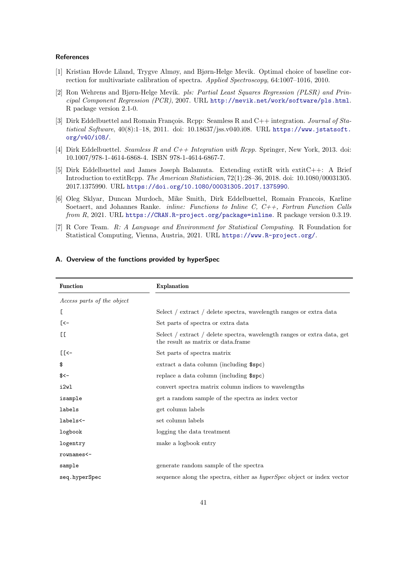#### **References**

- <span id="page-40-1"></span>[1] Kristian Hovde Liland, Trygve Almøy, and Bjørn-Helge Mevik. Optimal choice of baseline correction for multivariate calibration of spectra. *Applied Spectroscopy*, 64:1007–1016, 2010.
- <span id="page-40-2"></span>[2] Ron Wehrens and Bjørn-Helge Mevik. *pls: Partial Least Squares Regression (PLSR) and Principal Component Regression (PCR)*, 2007. URL <http://mevik.net/work/software/pls.html>. R package version 2.1-0.
- <span id="page-40-3"></span>[3] Dirk Eddelbuettel and Romain François. Rcpp: Seamless R and C++ integration. *Journal of Statistical Software*, 40(8):1–18, 2011. doi: 10.18637/jss.v040.i08. URL [https://www.jstatsoft.](https://www.jstatsoft.org/v40/i08/) [org/v40/i08/](https://www.jstatsoft.org/v40/i08/).
- <span id="page-40-4"></span>[4] Dirk Eddelbuettel. *Seamless R and C++ Integration with Rcpp*. Springer, New York, 2013. doi: 10.1007/978-1-4614-6868-4. ISBN 978-1-4614-6867-7.
- <span id="page-40-5"></span>[5] Dirk Eddelbuettel and James Joseph Balamuta. Extending extitR with extitC++: A Brief Introduction to extitRcpp. *The American Statistician*, 72(1):28–36, 2018. doi: 10.1080/00031305. 2017.1375990. URL <https://doi.org/10.1080/00031305.2017.1375990>.
- <span id="page-40-6"></span>[6] Oleg Sklyar, Duncan Murdoch, Mike Smith, Dirk Eddelbuettel, Romain Francois, Karline Soetaert, and Johannes Ranke. *inline: Functions to Inline C, C++, Fortran Function Calls from R*, 2021. URL <https://CRAN.R-project.org/package=inline>. R package version 0.3.19.
- <span id="page-40-7"></span>[7] R Core Team. *R: A Language and Environment for Statistical Computing*. R Foundation for Statistical Computing, Vienna, Austria, 2021. URL <https://www.R-project.org/>.

| <b>Function</b>            | <b>Explanation</b>                                                                                            |  |  |  |
|----------------------------|---------------------------------------------------------------------------------------------------------------|--|--|--|
| Access parts of the object |                                                                                                               |  |  |  |
| E                          | Select / extract / delete spectra, wavelength ranges or extra data                                            |  |  |  |
| [<-                        | Set parts of spectra or extra data                                                                            |  |  |  |
| EE.                        | Select / extract / delete spectra, wavelength ranges or extra data, get<br>the result as matrix or data.frame |  |  |  |
| $E<$ -                     | Set parts of spectra matrix                                                                                   |  |  |  |
| \$                         | extract a data column (including \$spc)                                                                       |  |  |  |
| $$<-$                      | replace a data column (including \$spc)                                                                       |  |  |  |
| i2wl                       | convert spectra matrix column indices to wavelengths                                                          |  |  |  |
| isample                    | get a random sample of the spectra as index vector                                                            |  |  |  |
| labels                     | get column labels                                                                                             |  |  |  |
| labels<-                   | set column labels                                                                                             |  |  |  |
| logbook                    | logging the data treatment                                                                                    |  |  |  |
| logentry                   | make a logbook entry                                                                                          |  |  |  |
| rownames<-                 |                                                                                                               |  |  |  |
| sample                     | generate random sample of the spectra                                                                         |  |  |  |
| seq.hyperSpec              | sequence along the spectra, either as <i>hyperSpec</i> object or index vector                                 |  |  |  |

# <span id="page-40-0"></span>A. Overview of the functions provided by hyperSpec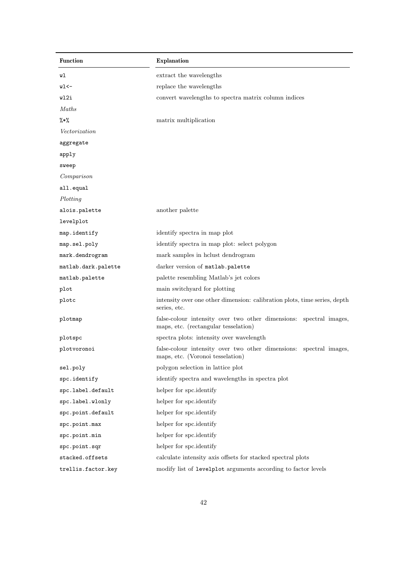| <b>Function</b>     | Explanation                                                                                                |  |  |  |  |
|---------------------|------------------------------------------------------------------------------------------------------------|--|--|--|--|
| wl                  | extract the wavelengths                                                                                    |  |  |  |  |
| wl<-                | replace the wavelengths                                                                                    |  |  |  |  |
| wl2i                | convert wavelengths to spectra matrix column indices                                                       |  |  |  |  |
| Maths               |                                                                                                            |  |  |  |  |
| $\frac{9}{6}*$ %    | matrix multiplication                                                                                      |  |  |  |  |
| Vectorization       |                                                                                                            |  |  |  |  |
| aggregate           |                                                                                                            |  |  |  |  |
| apply               |                                                                                                            |  |  |  |  |
| sweep               |                                                                                                            |  |  |  |  |
| Comparison          |                                                                                                            |  |  |  |  |
| all.equal           |                                                                                                            |  |  |  |  |
| Plotting            |                                                                                                            |  |  |  |  |
| alois.palette       | another palette                                                                                            |  |  |  |  |
| levelplot           |                                                                                                            |  |  |  |  |
| map.identify        | identify spectra in map plot                                                                               |  |  |  |  |
| map.sel.poly        | identify spectra in map plot: select polygon                                                               |  |  |  |  |
| mark.dendrogram     | mark samples in holust dendrogram                                                                          |  |  |  |  |
| matlab.dark.palette | darker version of matlab.palette                                                                           |  |  |  |  |
| matlab.palette      | palette resembling Matlab's jet colors                                                                     |  |  |  |  |
| plot                | main switchyard for plotting                                                                               |  |  |  |  |
| plotc               | intensity over one other dimension: calibration plots, time series, depth<br>series, etc.                  |  |  |  |  |
| plotmap             | false-colour intensity over two other dimensions: spectral images,<br>maps, etc. (rectangular tesselation) |  |  |  |  |
| plotspc             | spectra plots: intensity over wavelength                                                                   |  |  |  |  |
| plotvoronoi         | false-colour intensity over two other dimensions: spectral images,<br>maps, etc. (Voronoi tesselation)     |  |  |  |  |
| sel.poly            | polygon selection in lattice plot                                                                          |  |  |  |  |
| spc.identify        | identify spectra and wavelengths in spectra plot                                                           |  |  |  |  |
| spc.label.default   | helper for spc.identify                                                                                    |  |  |  |  |
| spc.label.wlonly    | helper for spc.identify                                                                                    |  |  |  |  |
| spc.point.default   | helper for spc.identify                                                                                    |  |  |  |  |
| spc.point.max       | helper for spc.identify                                                                                    |  |  |  |  |
| spc.point.min       | helper for spc.identify                                                                                    |  |  |  |  |
| spc.point.sqr       | helper for spc.identify                                                                                    |  |  |  |  |
| stacked.offsets     | calculate intensity axis offsets for stacked spectral plots                                                |  |  |  |  |
| trellis.factor.key  | modify list of levelplot arguments according to factor levels                                              |  |  |  |  |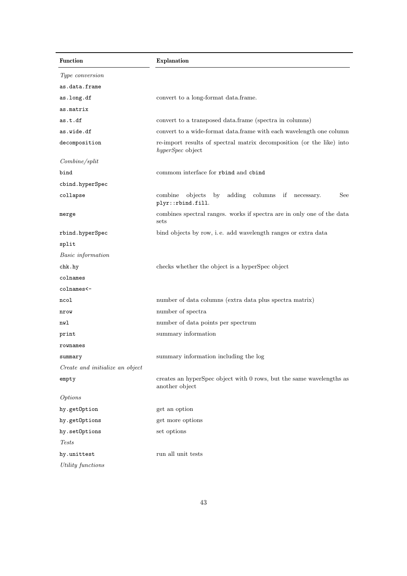| <b>Function</b>                 | Explanation                                                                                |  |  |  |  |
|---------------------------------|--------------------------------------------------------------------------------------------|--|--|--|--|
| Type conversion                 |                                                                                            |  |  |  |  |
| as.data.frame                   |                                                                                            |  |  |  |  |
| as.long.df                      | convert to a long-format data.frame.                                                       |  |  |  |  |
| as.matrix                       |                                                                                            |  |  |  |  |
| as.t.df                         | convert to a transposed data.frame (spectra in columns)                                    |  |  |  |  |
| as.wide.df                      | convert to a wide-format data.frame with each wavelength one column                        |  |  |  |  |
| decomposition                   | re-import results of spectral matrix decomposition (or the like) into<br>hyperSpec object  |  |  |  |  |
| Combine/split                   |                                                                                            |  |  |  |  |
| bind                            | commom interface for rbind and cbind                                                       |  |  |  |  |
| cbind.hyperSpec                 |                                                                                            |  |  |  |  |
| collapse                        | adding<br>columns if<br>combine<br>objects<br>by<br>See<br>necessary.<br>plyr::rbind.fill. |  |  |  |  |
| merge                           | combines spectral ranges. works if spectra are in only one of the data<br>sets             |  |  |  |  |
| rbind.hyperSpec                 | bind objects by row, i.e. add wavelength ranges or extra data                              |  |  |  |  |
| split                           |                                                                                            |  |  |  |  |
| Basic information               |                                                                                            |  |  |  |  |
| chk.hy                          | checks whether the object is a hyperSpec object                                            |  |  |  |  |
| colnames                        |                                                                                            |  |  |  |  |
| colnames<-                      |                                                                                            |  |  |  |  |
| ncol                            | number of data columns (extra data plus spectra matrix)                                    |  |  |  |  |
| nrow                            | number of spectra                                                                          |  |  |  |  |
| nwl                             | number of data points per spectrum                                                         |  |  |  |  |
| print                           | summary information                                                                        |  |  |  |  |
| rownames                        |                                                                                            |  |  |  |  |
| summary                         | summary information including the log                                                      |  |  |  |  |
| Create and initialize an object |                                                                                            |  |  |  |  |
| empty                           | creates an hyperSpec object with 0 rows, but the same wavelengths as<br>another object     |  |  |  |  |
| <i>Options</i>                  |                                                                                            |  |  |  |  |
| hy.getOption                    | get an option                                                                              |  |  |  |  |
| hy.getOptions                   | get more options                                                                           |  |  |  |  |
| hy.setOptions                   | set options                                                                                |  |  |  |  |
| <i>Tests</i>                    |                                                                                            |  |  |  |  |
| hy.unittest                     | run all unit tests                                                                         |  |  |  |  |
| Utility functions               |                                                                                            |  |  |  |  |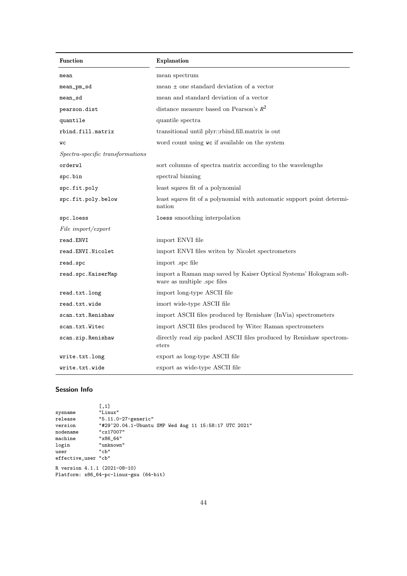| <b>Function</b>                  | <b>Explanation</b>                                                                                |  |  |  |
|----------------------------------|---------------------------------------------------------------------------------------------------|--|--|--|
| mean                             | mean spectrum                                                                                     |  |  |  |
| mean_pm_sd                       | mean $\pm$ one standard deviation of a vector                                                     |  |  |  |
| mean_sd                          | mean and standard deviation of a vector                                                           |  |  |  |
| pearson.dist                     | distance measure based on Pearson's $R^2$                                                         |  |  |  |
| quantile                         | quantile spectra                                                                                  |  |  |  |
| rbind.fill.matrix                | transitional until plyr::rbind.fill.matrix is out                                                 |  |  |  |
| WС                               | word count using we if available on the system                                                    |  |  |  |
| Spectra-specific transformations |                                                                                                   |  |  |  |
| orderwl                          | sort columns of spectra matrix according to the wavelengths                                       |  |  |  |
| spc.bin                          | spectral binning                                                                                  |  |  |  |
| spc.fit.poly                     | least squares fit of a polynomial                                                                 |  |  |  |
| spc.fit.poly.below               | least squares fit of a polynomial with automatic support point determi-<br>nation                 |  |  |  |
| spc.loess                        | loess smoothing interpolation                                                                     |  |  |  |
| File import/export               |                                                                                                   |  |  |  |
| read.ENVI                        | import ENVI file                                                                                  |  |  |  |
| read.ENVI.Nicolet                | import ENVI files writen by Nicolet spectrometers                                                 |  |  |  |
| read.spc                         | import .spc file                                                                                  |  |  |  |
| read.spc.KaiserMap               | import a Raman map saved by Kaiser Optical Systems' Hologram soft-<br>ware as multiple .spc files |  |  |  |
| read.txt.long                    | import long-type ASCII file                                                                       |  |  |  |
| read.txt.wide                    | imort wide-type ASCII file                                                                        |  |  |  |
| scan.txt.Renishaw                | import ASCII files produced by Renishaw (InVia) spectrometers                                     |  |  |  |
| scan.txt.Witec                   | import ASCII files produced by Witec Raman spectrometers                                          |  |  |  |
| scan.zip.Renishaw                | directly read zip packed ASCII files produced by Renishaw spectrom-<br>eters                      |  |  |  |
| write.txt.long                   | export as long-type ASCII file                                                                    |  |  |  |
| write.txt.wide                   | export as wide-type ASCII file                                                                    |  |  |  |

# Session Info

|                              | [0,1]                                                 |
|------------------------------|-------------------------------------------------------|
| sysname                      | "Linux"                                               |
| release                      | "5.11.0-27-generic"                                   |
| version                      | "#29~20.04.1-Ubuntu SMP Wed Aug 11 15:58:17 UTC 2021" |
| nodename                     | "cx17007"                                             |
| machine                      | "x86 64"                                              |
| login                        | "unknown"                                             |
| user                         | "ch"                                                  |
| effective_user "cb"          |                                                       |
| R version 4.1.1 (2021-08-10) | Platform: x86_64-pc-linux-gnu (64-bit)                |